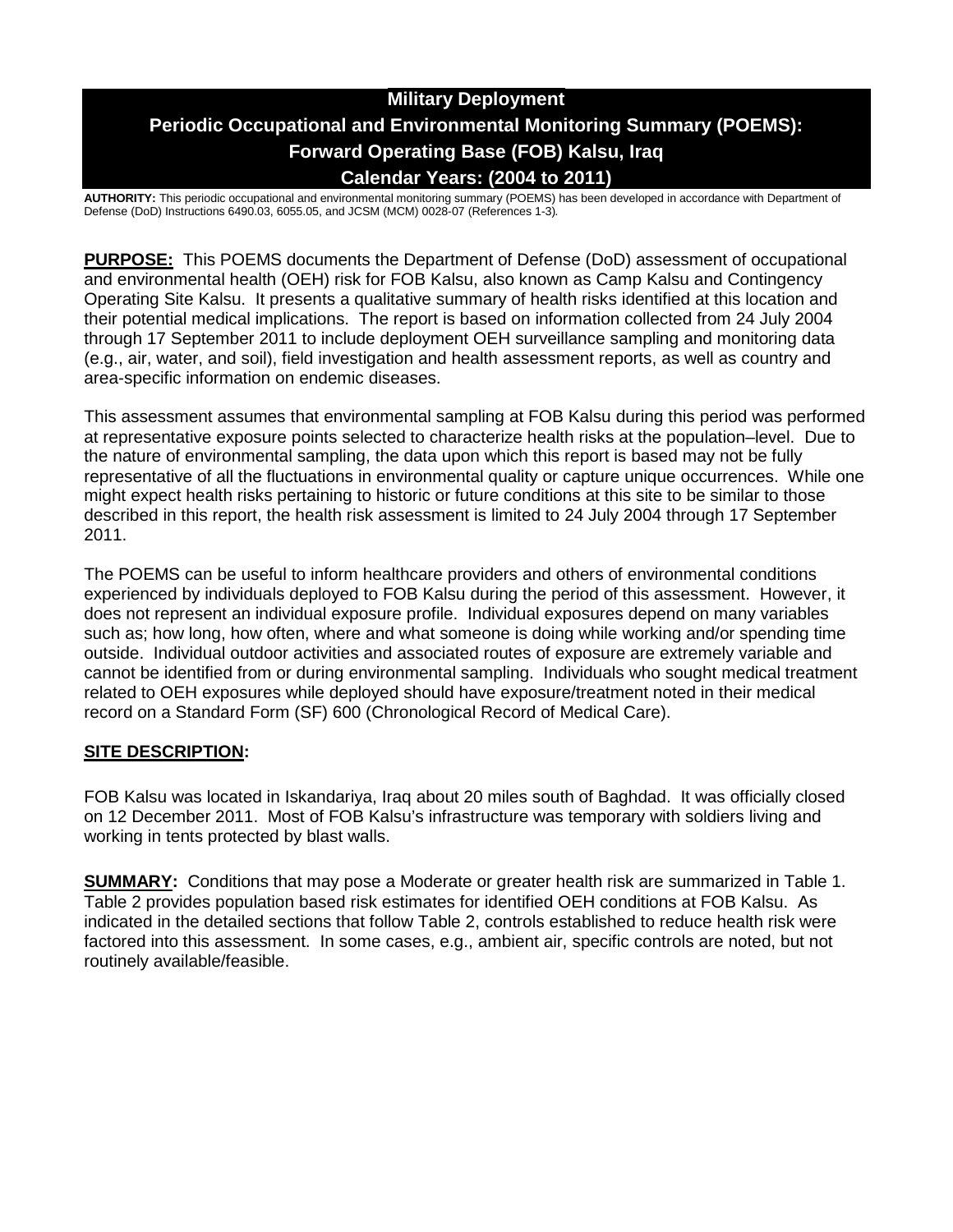# **Military Deployment Periodic Occupational and Environmental Monitoring Summary (POEMS): Forward Operating Base (FOB) Kalsu, Iraq Calendar Years: (2004 to 2011)**

**AUTHORITY:** This periodic occupational and environmental monitoring summary (POEMS) has been developed in accordance with Department of Defense (DoD) Instructions 6490.03, 6055.05, and JCSM (MCM) 0028-07 (References 1-3)*.*

**PURPOSE:** This POEMS documents the Department of Defense (DoD) assessment of occupational and environmental health (OEH) risk for FOB Kalsu, also known as Camp Kalsu and Contingency Operating Site Kalsu. It presents a qualitative summary of health risks identified at this location and their potential medical implications. The report is based on information collected from 24 July 2004 through 17 September 2011 to include deployment OEH surveillance sampling and monitoring data (e.g., air, water, and soil), field investigation and health assessment reports, as well as country and area-specific information on endemic diseases.

This assessment assumes that environmental sampling at FOB Kalsu during this period was performed at representative exposure points selected to characterize health risks at the population–level. Due to the nature of environmental sampling, the data upon which this report is based may not be fully representative of all the fluctuations in environmental quality or capture unique occurrences. While one might expect health risks pertaining to historic or future conditions at this site to be similar to those described in this report, the health risk assessment is limited to 24 July 2004 through 17 September 2011.

The POEMS can be useful to inform healthcare providers and others of environmental conditions experienced by individuals deployed to FOB Kalsu during the period of this assessment. However, it does not represent an individual exposure profile. Individual exposures depend on many variables such as; how long, how often, where and what someone is doing while working and/or spending time outside. Individual outdoor activities and associated routes of exposure are extremely variable and cannot be identified from or during environmental sampling. Individuals who sought medical treatment related to OEH exposures while deployed should have exposure/treatment noted in their medical record on a Standard Form (SF) 600 (Chronological Record of Medical Care).

### **SITE DESCRIPTION:**

FOB Kalsu was located in Iskandariya, Iraq about 20 miles south of Baghdad. It was officially closed on 12 December 2011. Most of FOB Kalsu's infrastructure was temporary with soldiers living and working in tents protected by blast walls.

**SUMMARY:** Conditions that may pose a Moderate or greater health risk are summarized in Table 1. Table 2 provides population based risk estimates for identified OEH conditions at FOB Kalsu. As indicated in the detailed sections that follow Table 2, controls established to reduce health risk were factored into this assessment. In some cases, e.g., ambient air, specific controls are noted, but not routinely available/feasible.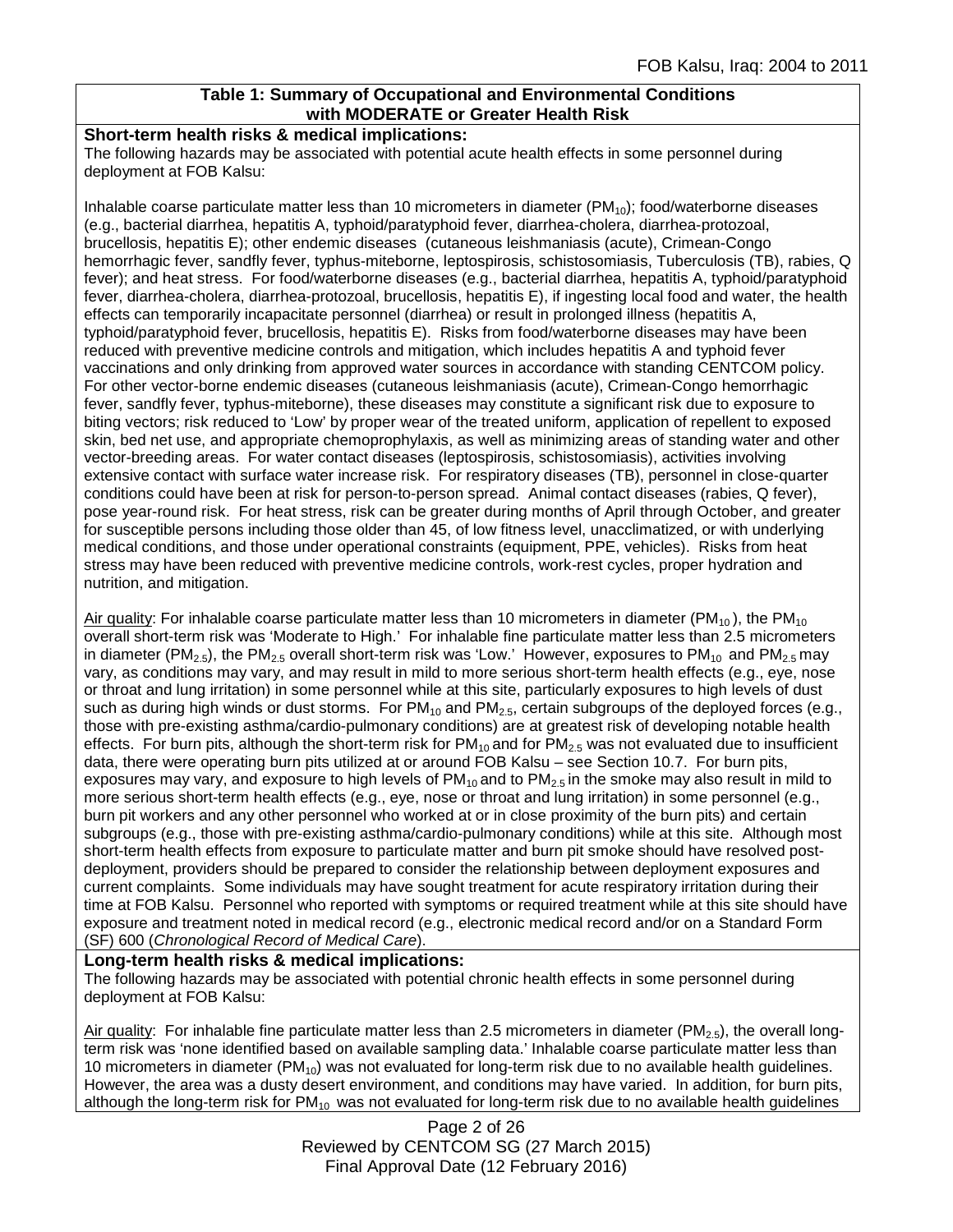### **Table 1: Summary of Occupational and Environmental Conditions with MODERATE or Greater Health Risk**

#### **Short-term health risks & medical implications:**

The following hazards may be associated with potential acute health effects in some personnel during deployment at FOB Kalsu:

Inhalable coarse particulate matter less than 10 micrometers in diameter  $(PM_{10})$ ; food/waterborne diseases (e.g., bacterial diarrhea, hepatitis A, typhoid/paratyphoid fever, diarrhea-cholera, diarrhea-protozoal, brucellosis, hepatitis E); other endemic diseases (cutaneous leishmaniasis (acute), Crimean-Congo hemorrhagic fever, sandfly fever, typhus-miteborne, leptospirosis, schistosomiasis, Tuberculosis (TB), rabies, Q fever); and heat stress. For food/waterborne diseases (e.g., bacterial diarrhea, hepatitis A, typhoid/paratyphoid fever, diarrhea-cholera, diarrhea-protozoal, brucellosis, hepatitis E), if ingesting local food and water, the health effects can temporarily incapacitate personnel (diarrhea) or result in prolonged illness (hepatitis A, typhoid/paratyphoid fever, brucellosis, hepatitis E). Risks from food/waterborne diseases may have been reduced with preventive medicine controls and mitigation, which includes hepatitis A and typhoid fever vaccinations and only drinking from approved water sources in accordance with standing CENTCOM policy. For other vector-borne endemic diseases (cutaneous leishmaniasis (acute), Crimean-Congo hemorrhagic fever, sandfly fever, typhus-miteborne), these diseases may constitute a significant risk due to exposure to biting vectors; risk reduced to 'Low' by proper wear of the treated uniform, application of repellent to exposed skin, bed net use, and appropriate chemoprophylaxis, as well as minimizing areas of standing water and other vector-breeding areas. For water contact diseases (leptospirosis, schistosomiasis), activities involving extensive contact with surface water increase risk. For respiratory diseases (TB), personnel in close-quarter conditions could have been at risk for person-to-person spread. Animal contact diseases (rabies, Q fever), pose year-round risk. For heat stress, risk can be greater during months of April through October, and greater for susceptible persons including those older than 45, of low fitness level, unacclimatized, or with underlying medical conditions, and those under operational constraints (equipment, PPE, vehicles). Risks from heat stress may have been reduced with preventive medicine controls, work-rest cycles, proper hydration and nutrition, and mitigation.

Air quality: For inhalable coarse particulate matter less than 10 micrometers in diameter ( $PM_{10}$ ), the  $PM_{10}$ overall short-term risk was 'Moderate to High.' For inhalable fine particulate matter less than 2.5 micrometers in diameter (PM<sub>2.5</sub>), the PM<sub>2.5</sub> overall short-term risk was 'Low.' However, exposures to PM<sub>10</sub> and PM<sub>2.5</sub> may vary, as conditions may vary, and may result in mild to more serious short-term health effects (e.g., eye, nose or throat and lung irritation) in some personnel while at this site, particularly exposures to high levels of dust such as during high winds or dust storms. For  $PM_{10}$  and  $PM_{2.5}$ , certain subgroups of the deployed forces (e.g., those with pre-existing asthma/cardio-pulmonary conditions) are at greatest risk of developing notable health effects. For burn pits, although the short-term risk for  $PM_{10}$  and for  $PM_{2.5}$  was not evaluated due to insufficient data, there were operating burn pits utilized at or around FOB Kalsu – see Section 10.7. For burn pits, exposures may vary, and exposure to high levels of  $PM_{10}$  and to  $PM_{2.5}$  in the smoke may also result in mild to more serious short-term health effects (e.g., eye, nose or throat and lung irritation) in some personnel (e.g., burn pit workers and any other personnel who worked at or in close proximity of the burn pits) and certain subgroups (e.g., those with pre-existing asthma/cardio-pulmonary conditions) while at this site. Although most short-term health effects from exposure to particulate matter and burn pit smoke should have resolved postdeployment, providers should be prepared to consider the relationship between deployment exposures and current complaints. Some individuals may have sought treatment for acute respiratory irritation during their time at FOB Kalsu. Personnel who reported with symptoms or required treatment while at this site should have exposure and treatment noted in medical record (e.g., electronic medical record and/or on a Standard Form (SF) 600 (*Chronological Record of Medical Care*).

#### **Long-term health risks & medical implications:**

The following hazards may be associated with potential chronic health effects in some personnel during deployment at FOB Kalsu:

Air quality: For inhalable fine particulate matter less than 2.5 micrometers in diameter (PM<sub>2.5</sub>), the overall longterm risk was 'none identified based on available sampling data.' Inhalable coarse particulate matter less than 10 micrometers in diameter (PM10) was not evaluated for long-term risk due to no available health guidelines. However, the area was a dusty desert environment, and conditions may have varied. In addition, for burn pits, although the long-term risk for  $PM_{10}$  was not evaluated for long-term risk due to no available health guidelines

> Page 2 of 26 Reviewed by CENTCOM SG (27 March 2015) Final Approval Date (12 February 2016)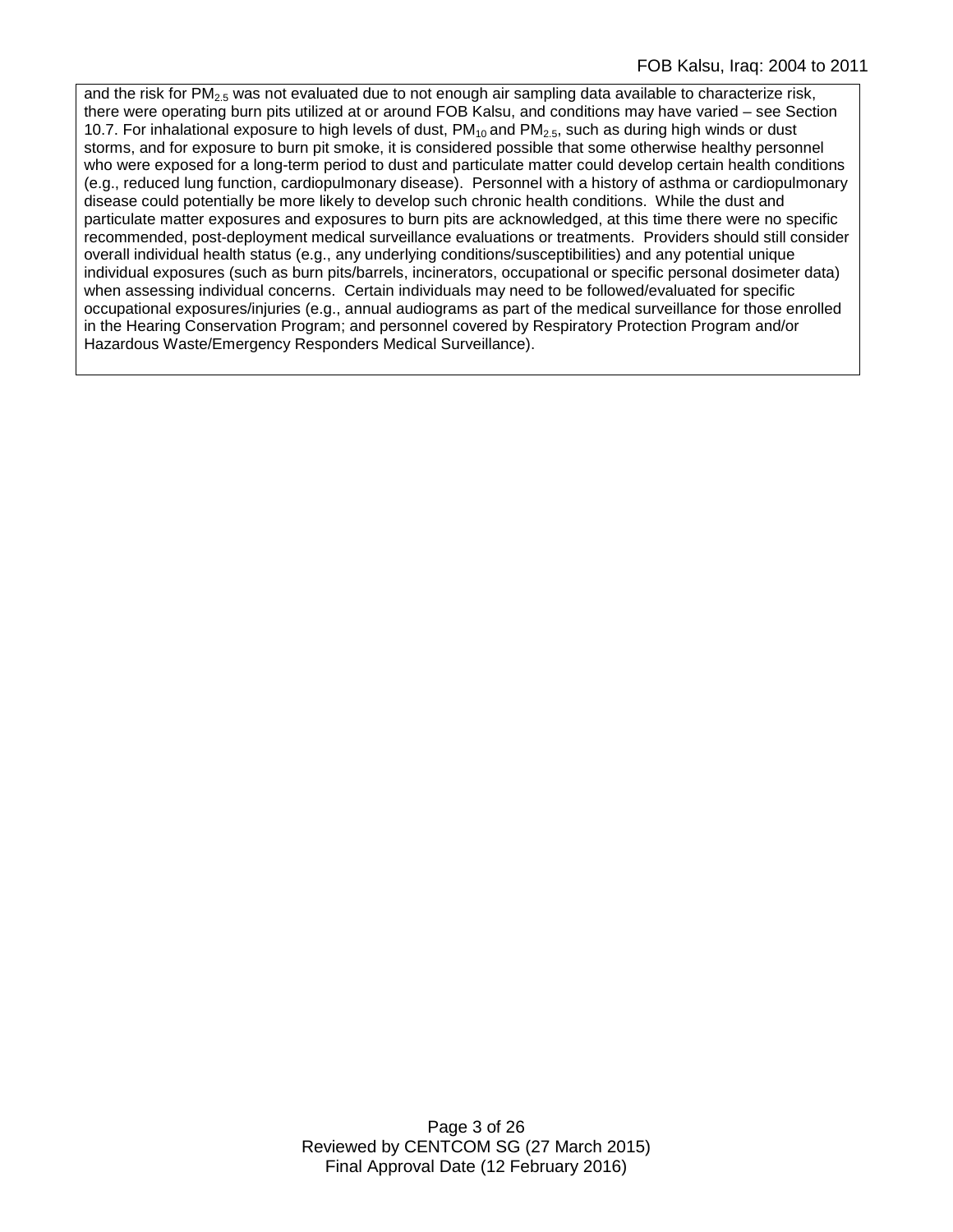and the risk for PM<sub>2.5</sub> was not evaluated due to not enough air sampling data available to characterize risk, there were operating burn pits utilized at or around FOB Kalsu, and conditions may have varied – see Section 10.7. For inhalational exposure to high levels of dust,  $PM_{10}$  and  $PM_{2.5}$ , such as during high winds or dust storms, and for exposure to burn pit smoke, it is considered possible that some otherwise healthy personnel who were exposed for a long-term period to dust and particulate matter could develop certain health conditions (e.g., reduced lung function, cardiopulmonary disease). Personnel with a history of asthma or cardiopulmonary disease could potentially be more likely to develop such chronic health conditions. While the dust and particulate matter exposures and exposures to burn pits are acknowledged, at this time there were no specific recommended, post-deployment medical surveillance evaluations or treatments. Providers should still consider overall individual health status (e.g., any underlying conditions/susceptibilities) and any potential unique individual exposures (such as burn pits/barrels, incinerators, occupational or specific personal dosimeter data) when assessing individual concerns. Certain individuals may need to be followed/evaluated for specific occupational exposures/injuries (e.g., annual audiograms as part of the medical surveillance for those enrolled in the Hearing Conservation Program; and personnel covered by Respiratory Protection Program and/or Hazardous Waste/Emergency Responders Medical Surveillance).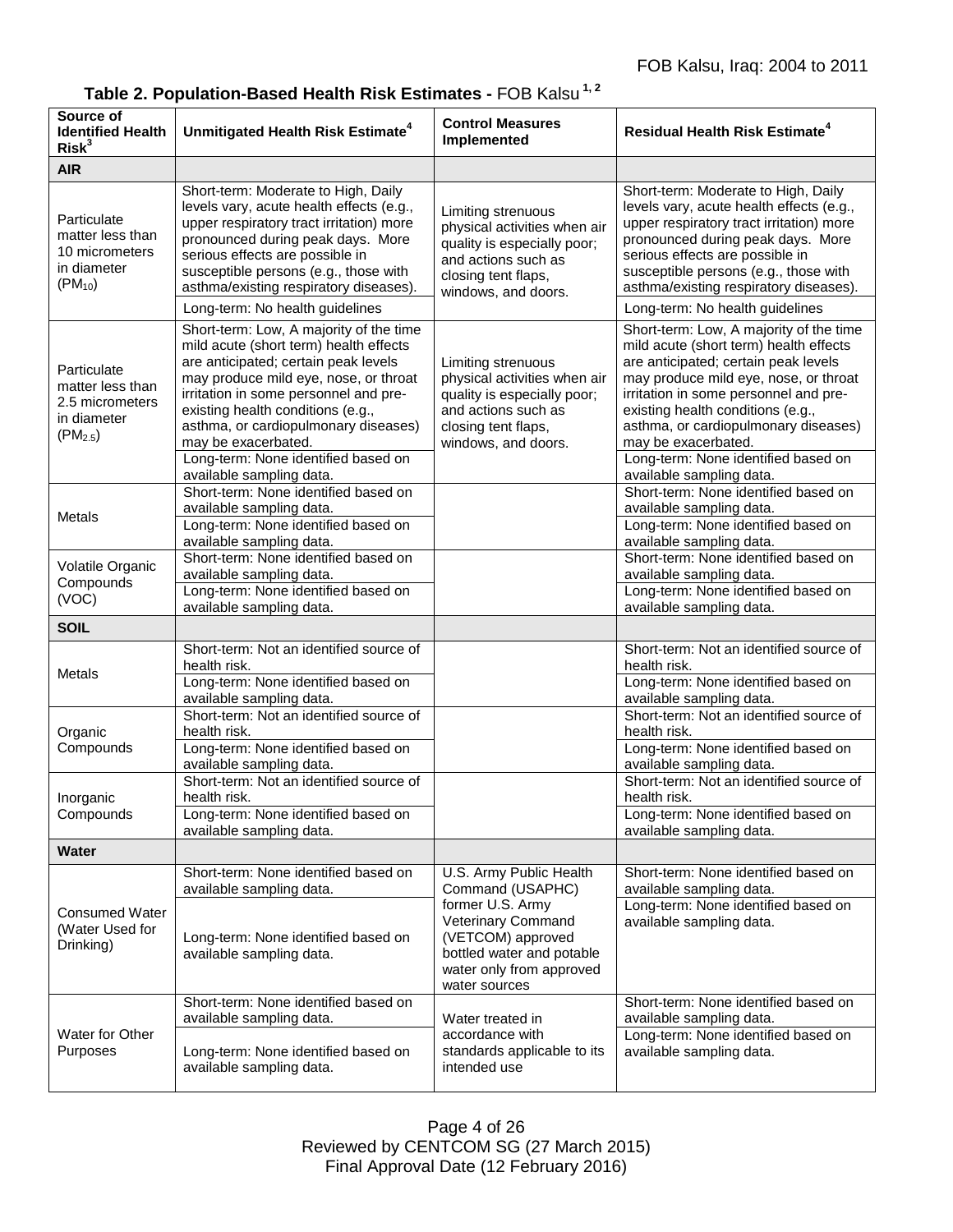|  | Table 2. Population-Based Health Risk Estimates - FOB Kalsu <sup>1,2</sup> |  |  |  |  |  |  |
|--|----------------------------------------------------------------------------|--|--|--|--|--|--|
|--|----------------------------------------------------------------------------|--|--|--|--|--|--|

| Source of<br><b>Identified Health</b><br>Risk <sup>3</sup>                        | Unmitigated Health Risk Estimate <sup>4</sup>                                                                                                                                                                                                                                                                                                          | <b>Control Measures</b><br>Implemented                                                                                                                 | <b>Residual Health Risk Estimate<sup>4</sup></b>                                                                                                                                                                                                                                                                                                       |
|-----------------------------------------------------------------------------------|--------------------------------------------------------------------------------------------------------------------------------------------------------------------------------------------------------------------------------------------------------------------------------------------------------------------------------------------------------|--------------------------------------------------------------------------------------------------------------------------------------------------------|--------------------------------------------------------------------------------------------------------------------------------------------------------------------------------------------------------------------------------------------------------------------------------------------------------------------------------------------------------|
| <b>AIR</b>                                                                        |                                                                                                                                                                                                                                                                                                                                                        |                                                                                                                                                        |                                                                                                                                                                                                                                                                                                                                                        |
| Particulate<br>matter less than<br>10 micrometers<br>in diameter<br>$(PM_{10})$   | Short-term: Moderate to High, Daily<br>levels vary, acute health effects (e.g.,<br>upper respiratory tract irritation) more<br>pronounced during peak days. More<br>serious effects are possible in<br>susceptible persons (e.g., those with<br>asthma/existing respiratory diseases).                                                                 | Limiting strenuous<br>physical activities when air<br>quality is especially poor;<br>and actions such as<br>closing tent flaps,<br>windows, and doors. | Short-term: Moderate to High, Daily<br>levels vary, acute health effects (e.g.,<br>upper respiratory tract irritation) more<br>pronounced during peak days. More<br>serious effects are possible in<br>susceptible persons (e.g., those with<br>asthma/existing respiratory diseases).                                                                 |
|                                                                                   | Long-term: No health guidelines                                                                                                                                                                                                                                                                                                                        |                                                                                                                                                        | Long-term: No health guidelines                                                                                                                                                                                                                                                                                                                        |
| Particulate<br>matter less than<br>2.5 micrometers<br>in diameter<br>$(PM_{2.5})$ | Short-term: Low, A majority of the time<br>mild acute (short term) health effects<br>are anticipated; certain peak levels<br>may produce mild eye, nose, or throat<br>irritation in some personnel and pre-<br>existing health conditions (e.g.,<br>asthma, or cardiopulmonary diseases)<br>may be exacerbated.<br>Long-term: None identified based on | Limiting strenuous<br>physical activities when air<br>quality is especially poor;<br>and actions such as<br>closing tent flaps,<br>windows, and doors. | Short-term: Low, A majority of the time<br>mild acute (short term) health effects<br>are anticipated; certain peak levels<br>may produce mild eye, nose, or throat<br>irritation in some personnel and pre-<br>existing health conditions (e.g.,<br>asthma, or cardiopulmonary diseases)<br>may be exacerbated.<br>Long-term: None identified based on |
|                                                                                   | available sampling data.                                                                                                                                                                                                                                                                                                                               |                                                                                                                                                        | available sampling data.                                                                                                                                                                                                                                                                                                                               |
| Metals                                                                            | Short-term: None identified based on<br>available sampling data.<br>Long-term: None identified based on<br>available sampling data.                                                                                                                                                                                                                    |                                                                                                                                                        | Short-term: None identified based on<br>available sampling data.<br>Long-term: None identified based on<br>available sampling data.                                                                                                                                                                                                                    |
| Volatile Organic                                                                  | Short-term: None identified based on                                                                                                                                                                                                                                                                                                                   |                                                                                                                                                        | Short-term: None identified based on                                                                                                                                                                                                                                                                                                                   |
| Compounds<br>(VOC)                                                                | available sampling data.<br>Long-term: None identified based on<br>available sampling data.                                                                                                                                                                                                                                                            |                                                                                                                                                        | available sampling data.<br>Long-term: None identified based on<br>available sampling data.                                                                                                                                                                                                                                                            |
| <b>SOIL</b>                                                                       |                                                                                                                                                                                                                                                                                                                                                        |                                                                                                                                                        |                                                                                                                                                                                                                                                                                                                                                        |
| <b>Metals</b>                                                                     | Short-term: Not an identified source of<br>health risk.<br>Long-term: None identified based on                                                                                                                                                                                                                                                         |                                                                                                                                                        | Short-term: Not an identified source of<br>health risk.<br>Long-term: None identified based on<br>available sampling data.                                                                                                                                                                                                                             |
| Organic                                                                           | available sampling data.<br>Short-term: Not an identified source of<br>health risk.                                                                                                                                                                                                                                                                    |                                                                                                                                                        | Short-term: Not an identified source of<br>health risk.                                                                                                                                                                                                                                                                                                |
| Compounds                                                                         | Long-term: None identified based on<br>available sampling data.                                                                                                                                                                                                                                                                                        |                                                                                                                                                        | Long-term: None identified based on<br>available sampling data.                                                                                                                                                                                                                                                                                        |
| Inorganic<br>Compounds                                                            | Short-term: Not an identified source of<br>health risk.                                                                                                                                                                                                                                                                                                |                                                                                                                                                        | Short-term: Not an identified source of<br>health risk.                                                                                                                                                                                                                                                                                                |
|                                                                                   | Long-term: None identified based on<br>available sampling data.                                                                                                                                                                                                                                                                                        |                                                                                                                                                        | Long-term: None identified based on<br>available sampling data.                                                                                                                                                                                                                                                                                        |
| Water                                                                             |                                                                                                                                                                                                                                                                                                                                                        |                                                                                                                                                        |                                                                                                                                                                                                                                                                                                                                                        |
| <b>Consumed Water</b><br>(Water Used for<br>Drinking)                             | Short-term: None identified based on<br>available sampling data.                                                                                                                                                                                                                                                                                       | U.S. Army Public Health<br>Command (USAPHC)                                                                                                            | Short-term: None identified based on<br>available sampling data.                                                                                                                                                                                                                                                                                       |
|                                                                                   | Long-term: None identified based on<br>available sampling data.                                                                                                                                                                                                                                                                                        | former U.S. Army<br>Veterinary Command<br>(VETCOM) approved<br>bottled water and potable<br>water only from approved<br>water sources                  | Long-term: None identified based on<br>available sampling data.                                                                                                                                                                                                                                                                                        |
|                                                                                   | Short-term: None identified based on<br>available sampling data.                                                                                                                                                                                                                                                                                       | Water treated in                                                                                                                                       | Short-term: None identified based on<br>available sampling data.                                                                                                                                                                                                                                                                                       |
| Water for Other<br>Purposes                                                       | Long-term: None identified based on<br>available sampling data.                                                                                                                                                                                                                                                                                        | accordance with<br>standards applicable to its<br>intended use                                                                                         | Long-term: None identified based on<br>available sampling data.                                                                                                                                                                                                                                                                                        |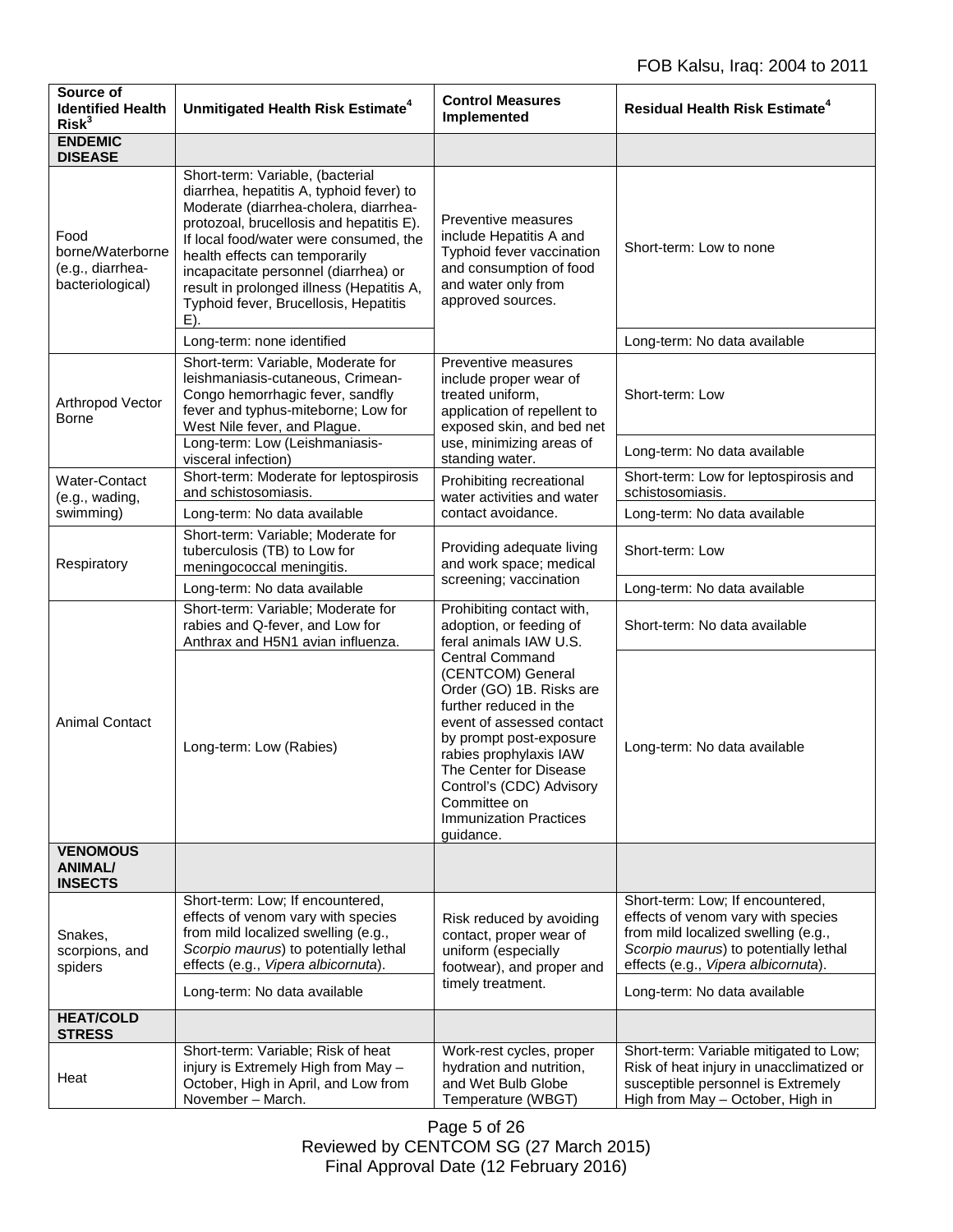| Source of<br><b>Identified Health</b><br>Risk <sup>3</sup>       | Unmitigated Health Risk Estimate <sup>4</sup>                                                                                                                                                                                                                                                                                                                                      | <b>Control Measures</b><br>Implemented                                                                                                                                                                                                                                                                  | <b>Residual Health Risk Estimate<sup>4</sup></b>                                                                                                                                              |
|------------------------------------------------------------------|------------------------------------------------------------------------------------------------------------------------------------------------------------------------------------------------------------------------------------------------------------------------------------------------------------------------------------------------------------------------------------|---------------------------------------------------------------------------------------------------------------------------------------------------------------------------------------------------------------------------------------------------------------------------------------------------------|-----------------------------------------------------------------------------------------------------------------------------------------------------------------------------------------------|
| <b>ENDEMIC</b><br><b>DISEASE</b>                                 |                                                                                                                                                                                                                                                                                                                                                                                    |                                                                                                                                                                                                                                                                                                         |                                                                                                                                                                                               |
| Food<br>borne/Waterborne<br>(e.g., diarrhea-<br>bacteriological) | Short-term: Variable, (bacterial<br>diarrhea, hepatitis A, typhoid fever) to<br>Moderate (diarrhea-cholera, diarrhea-<br>protozoal, brucellosis and hepatitis E).<br>If local food/water were consumed, the<br>health effects can temporarily<br>incapacitate personnel (diarrhea) or<br>result in prolonged illness (Hepatitis A,<br>Typhoid fever, Brucellosis, Hepatitis<br>E). | Preventive measures<br>include Hepatitis A and<br>Typhoid fever vaccination<br>and consumption of food<br>and water only from<br>approved sources.                                                                                                                                                      | Short-term: Low to none                                                                                                                                                                       |
|                                                                  | Long-term: none identified                                                                                                                                                                                                                                                                                                                                                         |                                                                                                                                                                                                                                                                                                         | Long-term: No data available                                                                                                                                                                  |
| Arthropod Vector<br><b>Borne</b>                                 | Short-term: Variable, Moderate for<br>leishmaniasis-cutaneous, Crimean-<br>Congo hemorrhagic fever, sandfly<br>fever and typhus-miteborne; Low for<br>West Nile fever, and Plague.                                                                                                                                                                                                 | Preventive measures<br>include proper wear of<br>treated uniform,<br>application of repellent to<br>exposed skin, and bed net                                                                                                                                                                           | Short-term: Low                                                                                                                                                                               |
|                                                                  | Long-term: Low (Leishmaniasis-<br>visceral infection)                                                                                                                                                                                                                                                                                                                              | use, minimizing areas of<br>standing water.                                                                                                                                                                                                                                                             | Long-term: No data available                                                                                                                                                                  |
| <b>Water-Contact</b><br>(e.g., wading,                           | Short-term: Moderate for leptospirosis<br>and schistosomiasis.                                                                                                                                                                                                                                                                                                                     | Prohibiting recreational<br>water activities and water                                                                                                                                                                                                                                                  | Short-term: Low for leptospirosis and<br>schistosomiasis.                                                                                                                                     |
| swimming)                                                        | Long-term: No data available                                                                                                                                                                                                                                                                                                                                                       | contact avoidance.                                                                                                                                                                                                                                                                                      | Long-term: No data available                                                                                                                                                                  |
| Respiratory                                                      | Short-term: Variable; Moderate for<br>tuberculosis (TB) to Low for<br>meningococcal meningitis.                                                                                                                                                                                                                                                                                    | Providing adequate living<br>and work space; medical<br>screening; vaccination                                                                                                                                                                                                                          | Short-term: Low                                                                                                                                                                               |
|                                                                  | Long-term: No data available                                                                                                                                                                                                                                                                                                                                                       |                                                                                                                                                                                                                                                                                                         | Long-term: No data available                                                                                                                                                                  |
| <b>Animal Contact</b>                                            | Short-term: Variable; Moderate for<br>rabies and Q-fever, and Low for<br>Anthrax and H5N1 avian influenza.                                                                                                                                                                                                                                                                         | Prohibiting contact with,<br>adoption, or feeding of<br>feral animals IAW U.S.                                                                                                                                                                                                                          | Short-term: No data available                                                                                                                                                                 |
|                                                                  | Long-term: Low (Rabies)                                                                                                                                                                                                                                                                                                                                                            | <b>Central Command</b><br>(CENTCOM) General<br>Order (GO) 1B. Risks are<br>further reduced in the<br>event of assessed contact<br>by prompt post-exposure<br>rabies prophylaxis IAW<br>The Center for Disease<br>Control's (CDC) Advisory<br>Committee on<br><b>Immunization Practices</b><br>guidance. | Long-term: No data available                                                                                                                                                                  |
| <b>VENOMOUS</b><br><b>ANIMAL/</b><br><b>INSECTS</b>              |                                                                                                                                                                                                                                                                                                                                                                                    |                                                                                                                                                                                                                                                                                                         |                                                                                                                                                                                               |
| Snakes,<br>scorpions, and<br>spiders                             | Short-term: Low; If encountered,<br>effects of venom vary with species<br>from mild localized swelling (e.g.,<br>Scorpio maurus) to potentially lethal<br>effects (e.g., Vipera albicornuta).                                                                                                                                                                                      | Risk reduced by avoiding<br>contact, proper wear of<br>uniform (especially<br>footwear), and proper and                                                                                                                                                                                                 | Short-term: Low; If encountered,<br>effects of venom vary with species<br>from mild localized swelling (e.g.,<br>Scorpio maurus) to potentially lethal<br>effects (e.g., Vipera albicornuta). |
|                                                                  | Long-term: No data available                                                                                                                                                                                                                                                                                                                                                       | timely treatment.                                                                                                                                                                                                                                                                                       | Long-term: No data available                                                                                                                                                                  |
| <b>HEAT/COLD</b><br><b>STRESS</b>                                |                                                                                                                                                                                                                                                                                                                                                                                    |                                                                                                                                                                                                                                                                                                         |                                                                                                                                                                                               |
| Heat                                                             | Short-term: Variable; Risk of heat<br>injury is Extremely High from May -<br>October, High in April, and Low from<br>November - March.                                                                                                                                                                                                                                             | Work-rest cycles, proper<br>hydration and nutrition,<br>and Wet Bulb Globe<br>Temperature (WBGT)                                                                                                                                                                                                        | Short-term: Variable mitigated to Low;<br>Risk of heat injury in unacclimatized or<br>susceptible personnel is Extremely<br>High from May - October, High in                                  |

Page 5 of 26 Reviewed by CENTCOM SG (27 March 2015) Final Approval Date (12 February 2016)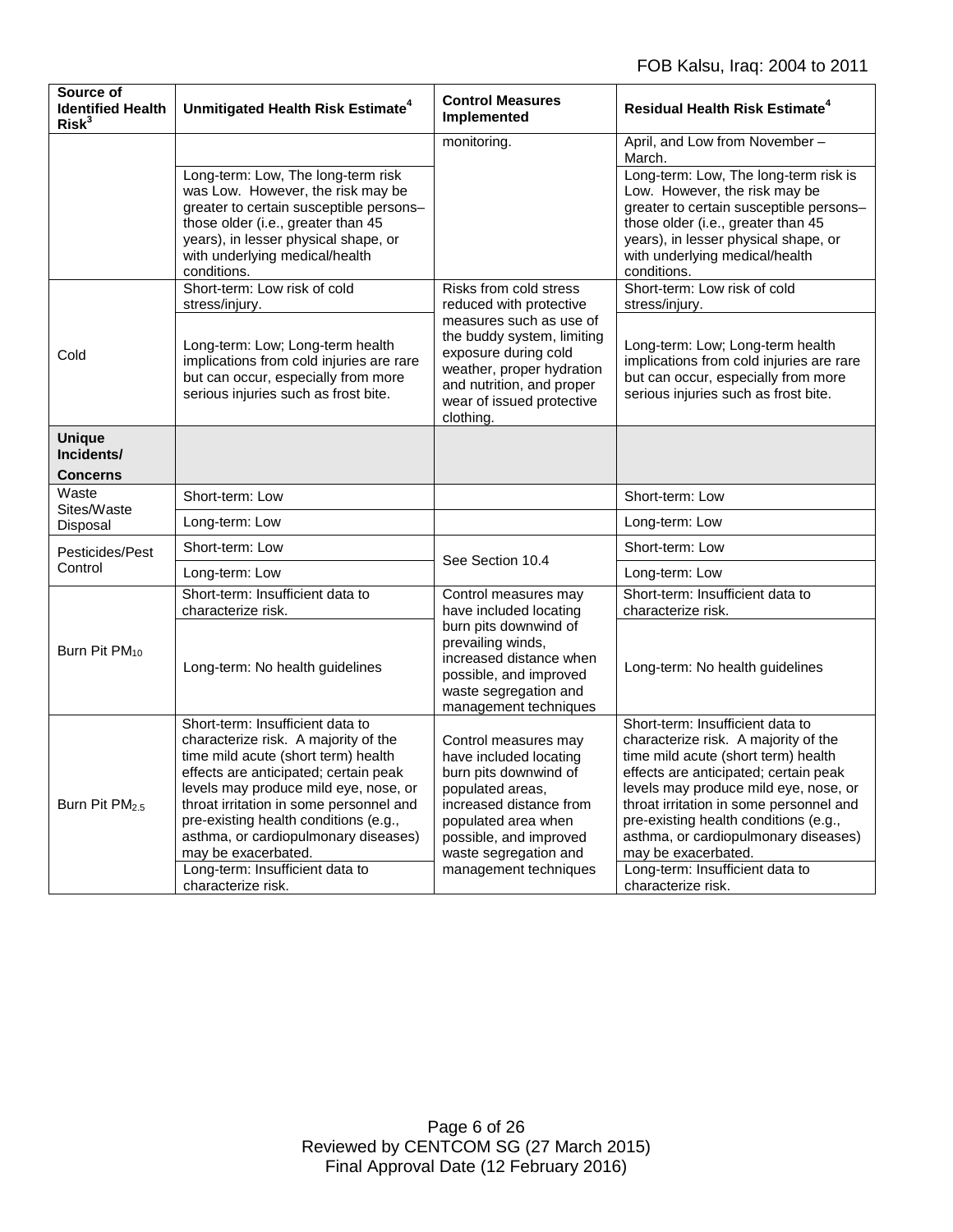| Source of<br><b>Identified Health</b><br>Risk <sup>3</sup> | Unmitigated Health Risk Estimate <sup>4</sup>                                                                                                                                                                                                                                                                                                                                                                 | <b>Control Measures</b><br>Implemented                                                                                                                                                                                    | <b>Residual Health Risk Estimate<sup>4</sup></b>                                                                                                                                                                                                                                                                                                                                                              |
|------------------------------------------------------------|---------------------------------------------------------------------------------------------------------------------------------------------------------------------------------------------------------------------------------------------------------------------------------------------------------------------------------------------------------------------------------------------------------------|---------------------------------------------------------------------------------------------------------------------------------------------------------------------------------------------------------------------------|---------------------------------------------------------------------------------------------------------------------------------------------------------------------------------------------------------------------------------------------------------------------------------------------------------------------------------------------------------------------------------------------------------------|
|                                                            |                                                                                                                                                                                                                                                                                                                                                                                                               | monitoring.                                                                                                                                                                                                               | April, and Low from November -<br>March.                                                                                                                                                                                                                                                                                                                                                                      |
|                                                            | Long-term: Low, The long-term risk<br>was Low. However, the risk may be<br>greater to certain susceptible persons-<br>those older (i.e., greater than 45<br>years), in lesser physical shape, or<br>with underlying medical/health<br>conditions.                                                                                                                                                             |                                                                                                                                                                                                                           | Long-term: Low, The long-term risk is<br>Low. However, the risk may be<br>greater to certain susceptible persons-<br>those older (i.e., greater than 45<br>years), in lesser physical shape, or<br>with underlying medical/health<br>conditions.                                                                                                                                                              |
|                                                            | Short-term: Low risk of cold<br>stress/injury.                                                                                                                                                                                                                                                                                                                                                                | Risks from cold stress<br>reduced with protective                                                                                                                                                                         | Short-term: Low risk of cold<br>stress/injury.                                                                                                                                                                                                                                                                                                                                                                |
| Cold                                                       | Long-term: Low; Long-term health<br>implications from cold injuries are rare<br>but can occur, especially from more<br>serious injuries such as frost bite.                                                                                                                                                                                                                                                   | measures such as use of<br>the buddy system, limiting<br>exposure during cold<br>weather, proper hydration<br>and nutrition, and proper<br>wear of issued protective<br>clothing.                                         | Long-term: Low; Long-term health<br>implications from cold injuries are rare<br>but can occur, especially from more<br>serious injuries such as frost bite.                                                                                                                                                                                                                                                   |
| <b>Unique</b><br>Incidents/<br><b>Concerns</b>             |                                                                                                                                                                                                                                                                                                                                                                                                               |                                                                                                                                                                                                                           |                                                                                                                                                                                                                                                                                                                                                                                                               |
| Waste<br>Sites/Waste<br>Disposal                           | Short-term: Low                                                                                                                                                                                                                                                                                                                                                                                               |                                                                                                                                                                                                                           | Short-term: Low                                                                                                                                                                                                                                                                                                                                                                                               |
|                                                            | Long-term: Low                                                                                                                                                                                                                                                                                                                                                                                                |                                                                                                                                                                                                                           | Long-term: Low                                                                                                                                                                                                                                                                                                                                                                                                |
| Pesticides/Pest                                            | Short-term: Low                                                                                                                                                                                                                                                                                                                                                                                               |                                                                                                                                                                                                                           | Short-term: Low                                                                                                                                                                                                                                                                                                                                                                                               |
| Control                                                    | Long-term: Low                                                                                                                                                                                                                                                                                                                                                                                                | See Section 10.4                                                                                                                                                                                                          | Long-term: Low                                                                                                                                                                                                                                                                                                                                                                                                |
| Burn Pit PM <sub>10</sub>                                  | Short-term: Insufficient data to<br>characterize risk.                                                                                                                                                                                                                                                                                                                                                        | Control measures may<br>have included locating                                                                                                                                                                            | Short-term: Insufficient data to<br>characterize risk.                                                                                                                                                                                                                                                                                                                                                        |
|                                                            | Long-term: No health guidelines                                                                                                                                                                                                                                                                                                                                                                               | burn pits downwind of<br>prevailing winds,<br>increased distance when<br>possible, and improved<br>waste segregation and<br>management techniques                                                                         | Long-term: No health guidelines                                                                                                                                                                                                                                                                                                                                                                               |
| Burn Pit PM <sub>2.5</sub>                                 | Short-term: Insufficient data to<br>characterize risk. A majority of the<br>time mild acute (short term) health<br>effects are anticipated; certain peak<br>levels may produce mild eye, nose, or<br>throat irritation in some personnel and<br>pre-existing health conditions (e.g.,<br>asthma, or cardiopulmonary diseases)<br>may be exacerbated.<br>Long-term: Insufficient data to<br>characterize risk. | Control measures may<br>have included locating<br>burn pits downwind of<br>populated areas,<br>increased distance from<br>populated area when<br>possible, and improved<br>waste segregation and<br>management techniques | Short-term: Insufficient data to<br>characterize risk. A majority of the<br>time mild acute (short term) health<br>effects are anticipated; certain peak<br>levels may produce mild eye, nose, or<br>throat irritation in some personnel and<br>pre-existing health conditions (e.g.,<br>asthma, or cardiopulmonary diseases)<br>may be exacerbated.<br>Long-term: Insufficient data to<br>characterize risk. |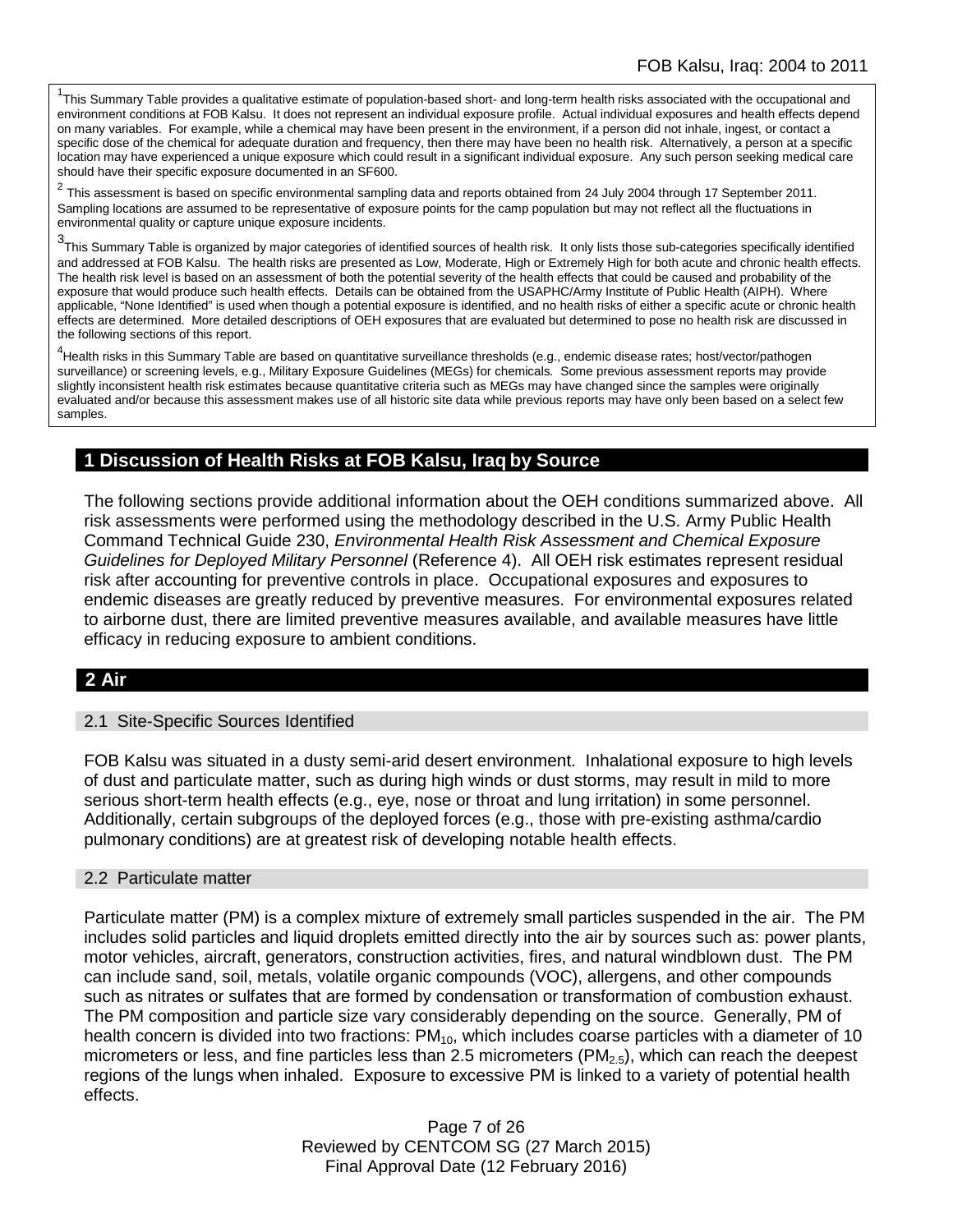<sup>1</sup>This Summary Table provides a qualitative estimate of population-based short- and long-term health risks associated with the occupational and environment conditions at FOB Kalsu. It does not represent an individual exposure profile. Actual individual exposures and health effects depend on many variables. For example, while a chemical may have been present in the environment, if a person did not inhale, ingest, or contact a specific dose of the chemical for adequate duration and frequency, then there may have been no health risk. Alternatively, a person at a specific location may have experienced a unique exposure which could result in a significant individual exposure. Any such person seeking medical care should have their specific exposure documented in an SF600.

<sup>2</sup> This assessment is based on specific environmental sampling data and reports obtained from 24 July 2004 through 17 September 2011. Sampling locations are assumed to be representative of exposure points for the camp population but may not reflect all the fluctuations in environmental quality or capture unique exposure incidents.

3 This Summary Table is organized by major categories of identified sources of health risk. It only lists those sub-categories specifically identified and addressed at FOB Kalsu. The health risks are presented as Low, Moderate, High or Extremely High for both acute and chronic health effects. The health risk level is based on an assessment of both the potential severity of the health effects that could be caused and probability of the exposure that would produce such health effects. Details can be obtained from the USAPHC/Army Institute of Public Health (AIPH). Where applicable, "None Identified" is used when though a potential exposure is identified, and no health risks of either a specific acute or chronic health effects are determined. More detailed descriptions of OEH exposures that are evaluated but determined to pose no health risk are discussed in the following sections of this report.

4 Health risks in this Summary Table are based on quantitative surveillance thresholds (e.g., endemic disease rates; host/vector/pathogen surveillance) or screening levels, e.g., Military Exposure Guidelines (MEGs) for chemicals*.* Some previous assessment reports may provide slightly inconsistent health risk estimates because quantitative criteria such as MEGs may have changed since the samples were originally evaluated and/or because this assessment makes use of all historic site data while previous reports may have only been based on a select few samples.

## **1 Discussion of Health Risks at FOB Kalsu, Iraq by Source**

The following sections provide additional information about the OEH conditions summarized above. All risk assessments were performed using the methodology described in the U.S. Army Public Health Command Technical Guide 230, *Environmental Health Risk Assessment and Chemical Exposure Guidelines for Deployed Military Personnel* (Reference 4). All OEH risk estimates represent residual risk after accounting for preventive controls in place. Occupational exposures and exposures to endemic diseases are greatly reduced by preventive measures. For environmental exposures related to airborne dust, there are limited preventive measures available, and available measures have little efficacy in reducing exposure to ambient conditions.

### **2 Air**

#### 2.1 Site-Specific Sources Identified

FOB Kalsu was situated in a dusty semi-arid desert environment. Inhalational exposure to high levels of dust and particulate matter, such as during high winds or dust storms, may result in mild to more serious short-term health effects (e.g., eye, nose or throat and lung irritation) in some personnel. Additionally, certain subgroups of the deployed forces (e.g., those with pre-existing asthma/cardio pulmonary conditions) are at greatest risk of developing notable health effects.

#### 2.2 Particulate matter

Particulate matter (PM) is a complex mixture of extremely small particles suspended in the air. The PM includes solid particles and liquid droplets emitted directly into the air by sources such as: power plants, motor vehicles, aircraft, generators, construction activities, fires, and natural windblown dust. The PM can include sand, soil, metals, volatile organic compounds (VOC), allergens, and other compounds such as nitrates or sulfates that are formed by condensation or transformation of combustion exhaust. The PM composition and particle size vary considerably depending on the source. Generally, PM of health concern is divided into two fractions:  $PM_{10}$ , which includes coarse particles with a diameter of 10 micrometers or less, and fine particles less than 2.5 micrometers  $(PM_{2.5})$ , which can reach the deepest regions of the lungs when inhaled. Exposure to excessive PM is linked to a variety of potential health effects.

> Page 7 of 26 Reviewed by CENTCOM SG (27 March 2015) Final Approval Date (12 February 2016)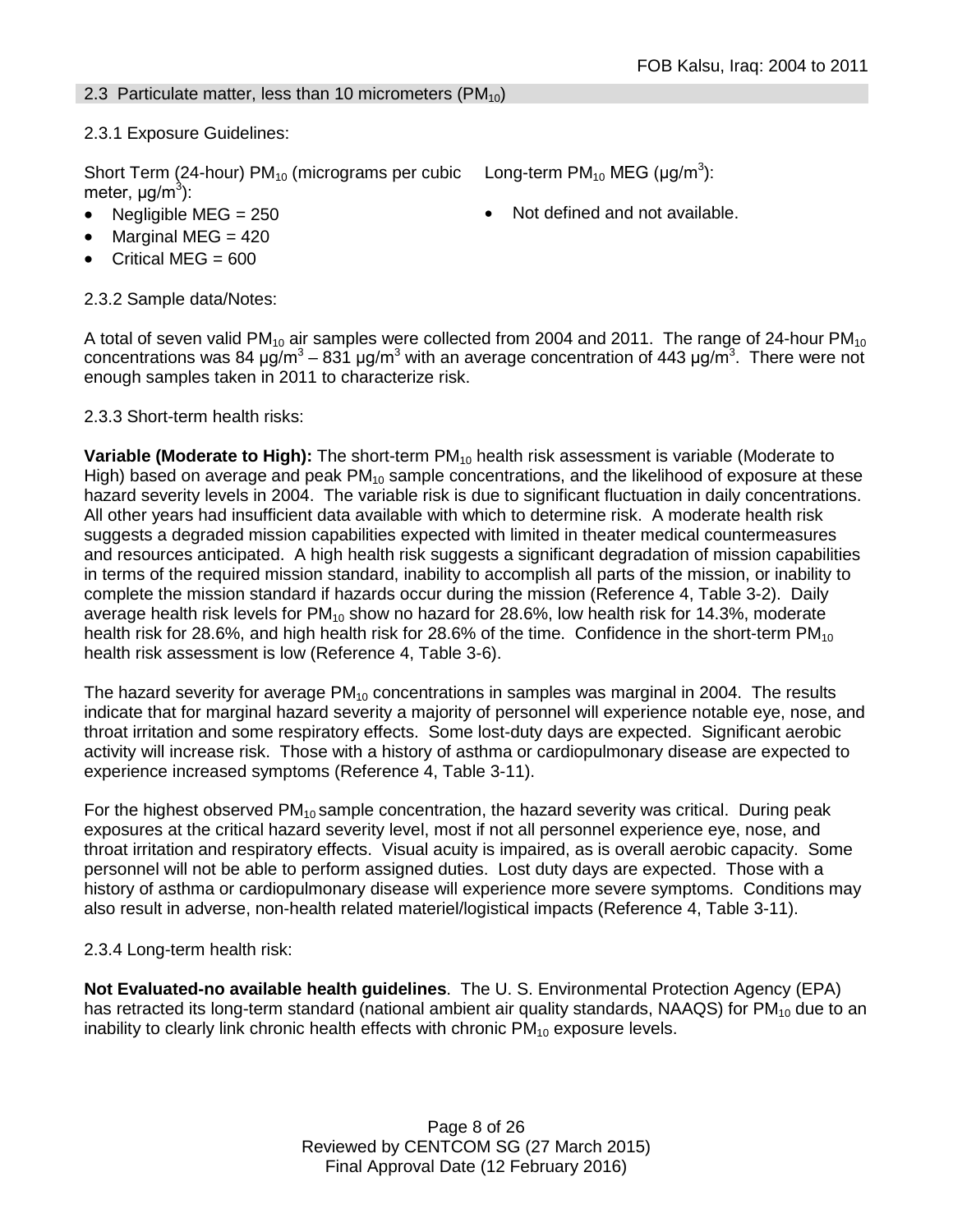### 2.3 Particulate matter, less than 10 micrometers  $(PM_{10})$

2.3.1 Exposure Guidelines:

Short Term (24-hour) PM<sub>10</sub> (micrograms per cubic Long-term PM<sub>10</sub> MEG (µg/m<sup>3</sup>): meter, μg/m<sup>3</sup>):

- 
- Marginal MEG  $= 420$
- Critical MEG  $= 600$

2.3.2 Sample data/Notes:

• Negligible MEG = 250 • Not defined and not available.

A total of seven valid PM<sub>10</sub> air samples were collected from 2004 and 2011. The range of 24-hour PM<sub>10</sub> concentrations was 84 μg/m<sup>3</sup> – 831 μg/m<sup>3</sup> with an average concentration of 443 μg/m<sup>3</sup>. There were not enough samples taken in 2011 to characterize risk.

### 2.3.3 Short-term health risks:

**Variable (Moderate to High):** The short-term PM<sub>10</sub> health risk assessment is variable (Moderate to High) based on average and peak  $PM_{10}$  sample concentrations, and the likelihood of exposure at these hazard severity levels in 2004. The variable risk is due to significant fluctuation in daily concentrations. All other years had insufficient data available with which to determine risk. A moderate health risk suggests a degraded mission capabilities expected with limited in theater medical countermeasures and resources anticipated. A high health risk suggests a significant degradation of mission capabilities in terms of the required mission standard, inability to accomplish all parts of the mission, or inability to complete the mission standard if hazards occur during the mission (Reference 4, Table 3-2). Daily average health risk levels for  $PM_{10}$  show no hazard for 28.6%, low health risk for 14.3%, moderate health risk for 28.6%, and high health risk for 28.6% of the time. Confidence in the short-term  $PM_{10}$ health risk assessment is low (Reference 4, Table 3-6).

The hazard severity for average  $PM_{10}$  concentrations in samples was marginal in 2004. The results indicate that for marginal hazard severity a majority of personnel will experience notable eye, nose, and throat irritation and some respiratory effects. Some lost-duty days are expected. Significant aerobic activity will increase risk. Those with a history of asthma or cardiopulmonary disease are expected to experience increased symptoms (Reference 4, Table 3-11).

For the highest observed  $PM_{10}$  sample concentration, the hazard severity was critical. During peak exposures at the critical hazard severity level, most if not all personnel experience eye, nose, and throat irritation and respiratory effects. Visual acuity is impaired, as is overall aerobic capacity. Some personnel will not be able to perform assigned duties. Lost duty days are expected. Those with a history of asthma or cardiopulmonary disease will experience more severe symptoms. Conditions may also result in adverse, non-health related materiel/logistical impacts (Reference 4, Table 3-11).

### 2.3.4 Long-term health risk:

**Not Evaluated-no available health guidelines**. The U. S. Environmental Protection Agency (EPA) has retracted its long-term standard (national ambient air quality standards, NAAQS) for  $PM_{10}$  due to an inability to clearly link chronic health effects with chronic  $PM_{10}$  exposure levels.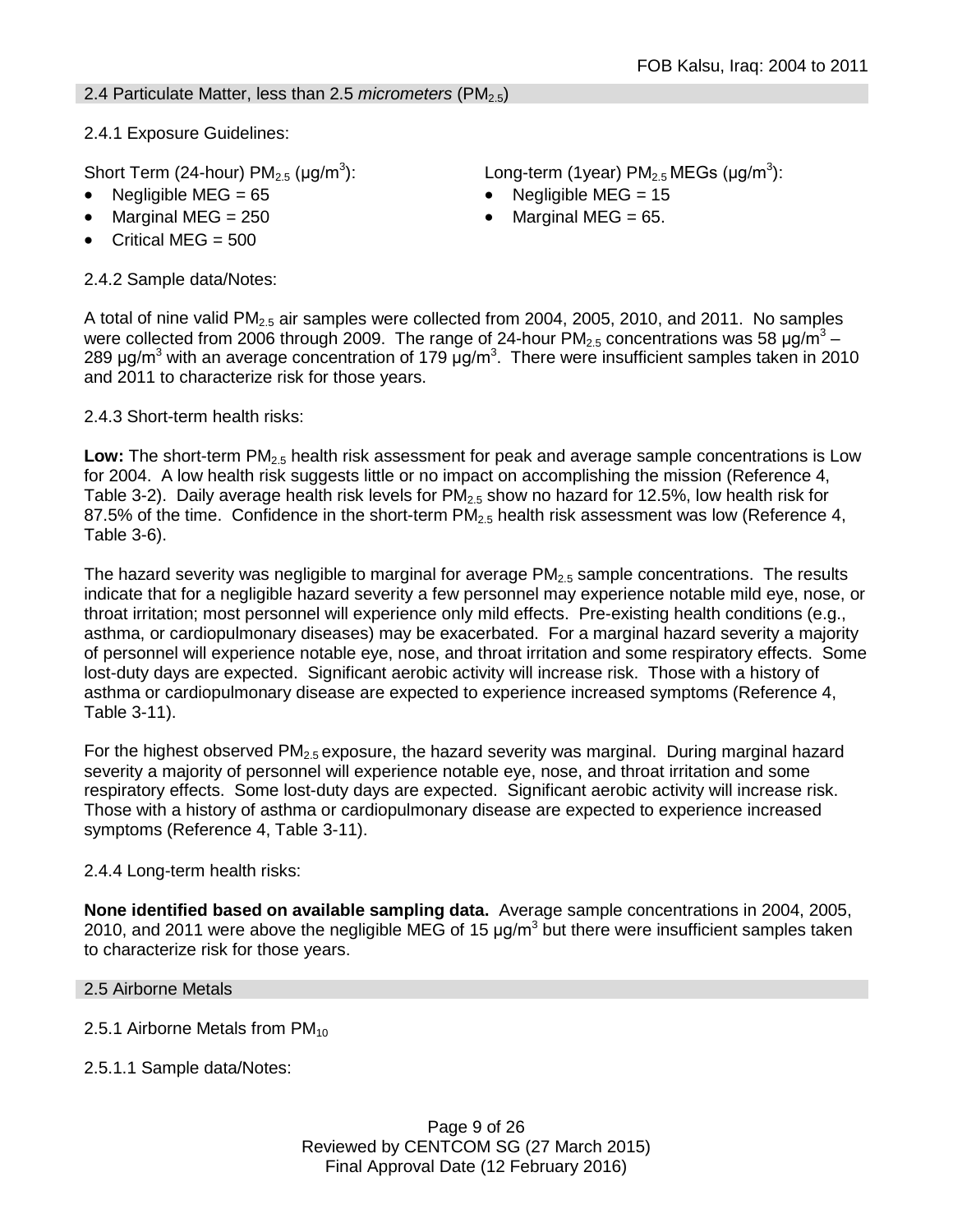2.4 Particulate Matter, less than 2.5 *micrometers* (PM2.5)

2.4.1 Exposure Guidelines:

Short Term (24-hour)  $PM<sub>2.5</sub>$  (µg/m<sup>3</sup>):

- 
- 
- Critical MEG = 500

2.4.2 Sample data/Notes:

): Long-term (1year)  $PM_{2.5}$  MEGs (µg/m<sup>3</sup>):

- Negligible MEG = 65 Negligible MEG = 15
	- Marginal MEG =  $250$  Marginal MEG =  $65$ .

A total of nine valid  $PM<sub>2.5</sub>$  air samples were collected from 2004, 2005, 2010, and 2011. No samples were collected from 2006 through 2009. The range of 24-hour  $PM_{2.5}$  concentrations was 58  $\mu$ g/m<sup>3</sup> – 289 μg/m<sup>3</sup> with an average concentration of 179 μg/m<sup>3</sup>. There were insufficient samples taken in 2010 and 2011 to characterize risk for those years.

2.4.3 Short-term health risks:

Low: The short-term PM<sub>2.5</sub> health risk assessment for peak and average sample concentrations is Low for 2004. A low health risk suggests little or no impact on accomplishing the mission (Reference 4, Table 3-2). Daily average health risk levels for  $PM<sub>2.5</sub>$  show no hazard for 12.5%, low health risk for 87.5% of the time. Confidence in the short-term  $PM_{2.5}$  health risk assessment was low (Reference 4, Table 3-6).

The hazard severity was negligible to marginal for average  $PM<sub>2.5</sub>$  sample concentrations. The results indicate that for a negligible hazard severity a few personnel may experience notable mild eye, nose, or throat irritation; most personnel will experience only mild effects. Pre-existing health conditions (e.g., asthma, or cardiopulmonary diseases) may be exacerbated. For a marginal hazard severity a majority of personnel will experience notable eye, nose, and throat irritation and some respiratory effects. Some lost-duty days are expected. Significant aerobic activity will increase risk. Those with a history of asthma or cardiopulmonary disease are expected to experience increased symptoms (Reference 4, Table 3-11).

For the highest observed  $PM_{2.5}$  exposure, the hazard severity was marginal. During marginal hazard severity a majority of personnel will experience notable eye, nose, and throat irritation and some respiratory effects. Some lost-duty days are expected. Significant aerobic activity will increase risk. Those with a history of asthma or cardiopulmonary disease are expected to experience increased symptoms (Reference 4, Table 3-11).

# 2.4.4 Long-term health risks:

**None identified based on available sampling data.** Average sample concentrations in 2004, 2005, 2010, and 2011 were above the negligible MEG of 15  $\mu q/m<sup>3</sup>$  but there were insufficient samples taken to characterize risk for those years.

### 2.5 Airborne Metals

- 2.5.1 Airborne Metals from  $PM_{10}$
- 2.5.1.1 Sample data/Notes: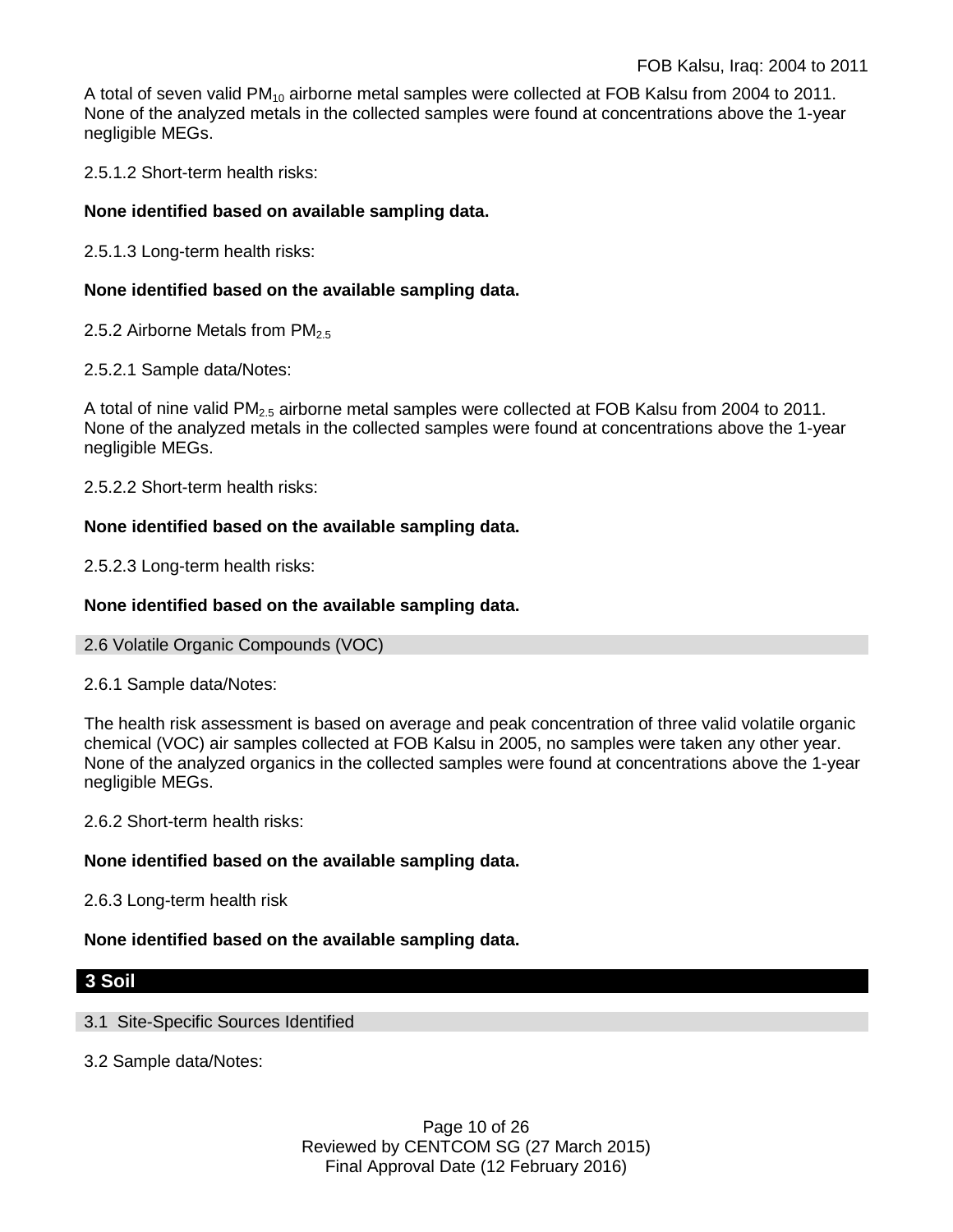A total of seven valid PM<sub>10</sub> airborne metal samples were collected at FOB Kalsu from 2004 to 2011. None of the analyzed metals in the collected samples were found at concentrations above the 1-year negligible MEGs.

2.5.1.2 Short-term health risks:

### **None identified based on available sampling data.**

2.5.1.3 Long-term health risks:

### **None identified based on the available sampling data.**

- 2.5.2 Airborne Metals from  $PM<sub>2.5</sub>$
- 2.5.2.1 Sample data/Notes:

A total of nine valid PM<sub>2.5</sub> airborne metal samples were collected at FOB Kalsu from 2004 to 2011. None of the analyzed metals in the collected samples were found at concentrations above the 1-year negligible MEGs.

2.5.2.2 Short-term health risks:

### **None identified based on the available sampling data.**

2.5.2.3 Long-term health risks:

### **None identified based on the available sampling data.**

2.6 Volatile Organic Compounds (VOC)

2.6.1 Sample data/Notes:

The health risk assessment is based on average and peak concentration of three valid volatile organic chemical (VOC) air samples collected at FOB Kalsu in 2005, no samples were taken any other year. None of the analyzed organics in the collected samples were found at concentrations above the 1-year negligible MEGs.

2.6.2 Short-term health risks:

### **None identified based on the available sampling data.**

2.6.3 Long-term health risk

#### **None identified based on the available sampling data.**

### **3 Soil**

#### 3.1 Site-Specific Sources Identified

3.2 Sample data/Notes:

Page 10 of 26 Reviewed by CENTCOM SG (27 March 2015) Final Approval Date (12 February 2016)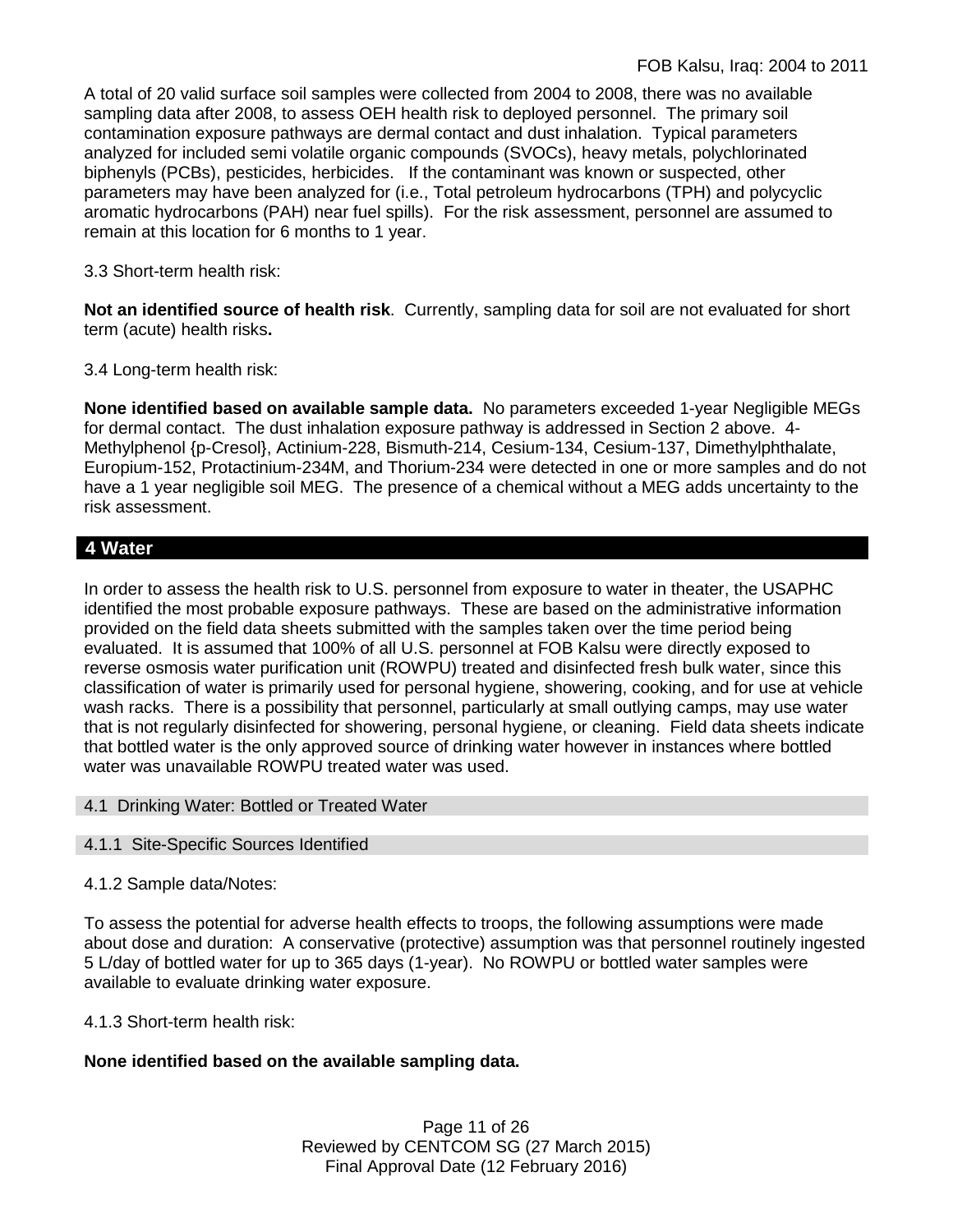A total of 20 valid surface soil samples were collected from 2004 to 2008, there was no available sampling data after 2008, to assess OEH health risk to deployed personnel. The primary soil contamination exposure pathways are dermal contact and dust inhalation. Typical parameters analyzed for included semi volatile organic compounds (SVOCs), heavy metals, polychlorinated biphenyls (PCBs), pesticides, herbicides. If the contaminant was known or suspected, other parameters may have been analyzed for (i.e., Total petroleum hydrocarbons (TPH) and polycyclic aromatic hydrocarbons (PAH) near fuel spills). For the risk assessment, personnel are assumed to remain at this location for 6 months to 1 year.

3.3 Short-term health risk:

**Not an identified source of health risk**. Currently, sampling data for soil are not evaluated for short term (acute) health risks**.**

3.4 Long-term health risk:

**None identified based on available sample data.** No parameters exceeded 1-year Negligible MEGs for dermal contact. The dust inhalation exposure pathway is addressed in Section 2 above. 4- Methylphenol {p-Cresol}, Actinium-228, Bismuth-214, Cesium-134, Cesium-137, Dimethylphthalate, Europium-152, Protactinium-234M, and Thorium-234 were detected in one or more samples and do not have a 1 year negligible soil MEG. The presence of a chemical without a MEG adds uncertainty to the risk assessment.

## **4 Water**

In order to assess the health risk to U.S. personnel from exposure to water in theater, the USAPHC identified the most probable exposure pathways. These are based on the administrative information provided on the field data sheets submitted with the samples taken over the time period being evaluated. It is assumed that 100% of all U.S. personnel at FOB Kalsu were directly exposed to reverse osmosis water purification unit (ROWPU) treated and disinfected fresh bulk water, since this classification of water is primarily used for personal hygiene, showering, cooking, and for use at vehicle wash racks. There is a possibility that personnel, particularly at small outlying camps, may use water that is not regularly disinfected for showering, personal hygiene, or cleaning. Field data sheets indicate that bottled water is the only approved source of drinking water however in instances where bottled water was unavailable ROWPU treated water was used.

4.1 Drinking Water: Bottled or Treated Water

### 4.1.1 Site-Specific Sources Identified

### 4.1.2 Sample data/Notes:

To assess the potential for adverse health effects to troops, the following assumptions were made about dose and duration: A conservative (protective) assumption was that personnel routinely ingested 5 L/day of bottled water for up to 365 days (1-year). No ROWPU or bottled water samples were available to evaluate drinking water exposure.

4.1.3 Short-term health risk:

### **None identified based on the available sampling data.**

Page 11 of 26 Reviewed by CENTCOM SG (27 March 2015) Final Approval Date (12 February 2016)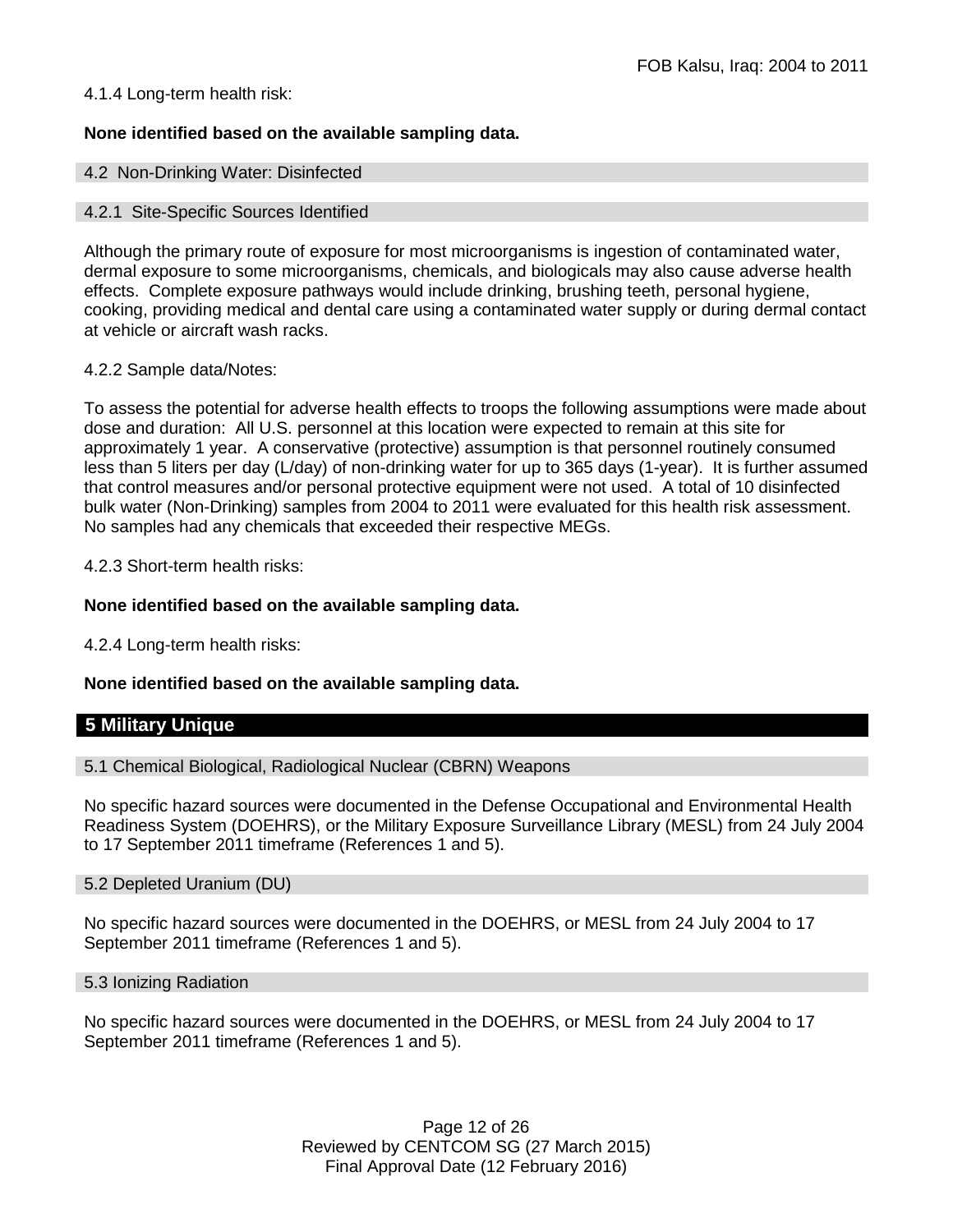### 4.1.4 Long-term health risk:

### **None identified based on the available sampling data.**

#### 4.2 Non-Drinking Water: Disinfected

#### 4.2.1 Site-Specific Sources Identified

Although the primary route of exposure for most microorganisms is ingestion of contaminated water, dermal exposure to some microorganisms, chemicals, and biologicals may also cause adverse health effects. Complete exposure pathways would include drinking, brushing teeth, personal hygiene, cooking, providing medical and dental care using a contaminated water supply or during dermal contact at vehicle or aircraft wash racks.

#### 4.2.2 Sample data/Notes:

To assess the potential for adverse health effects to troops the following assumptions were made about dose and duration: All U.S. personnel at this location were expected to remain at this site for approximately 1 year. A conservative (protective) assumption is that personnel routinely consumed less than 5 liters per day (L/day) of non-drinking water for up to 365 days (1-year). It is further assumed that control measures and/or personal protective equipment were not used. A total of 10 disinfected bulk water (Non-Drinking) samples from 2004 to 2011 were evaluated for this health risk assessment. No samples had any chemicals that exceeded their respective MEGs.

4.2.3 Short-term health risks:

#### **None identified based on the available sampling data.**

4.2.4 Long-term health risks:

#### **None identified based on the available sampling data.**

#### **5 Military Unique**

5.1 Chemical Biological, Radiological Nuclear (CBRN) Weapons

No specific hazard sources were documented in the Defense Occupational and Environmental Health Readiness System (DOEHRS), or the Military Exposure Surveillance Library (MESL) from 24 July 2004 to 17 September 2011 timeframe (References 1 and 5).

#### 5.2 Depleted Uranium (DU)

No specific hazard sources were documented in the DOEHRS, or MESL from 24 July 2004 to 17 September 2011 timeframe (References 1 and 5).

#### 5.3 Ionizing Radiation

No specific hazard sources were documented in the DOEHRS, or MESL from 24 July 2004 to 17 September 2011 timeframe (References 1 and 5).

> Page 12 of 26 Reviewed by CENTCOM SG (27 March 2015) Final Approval Date (12 February 2016)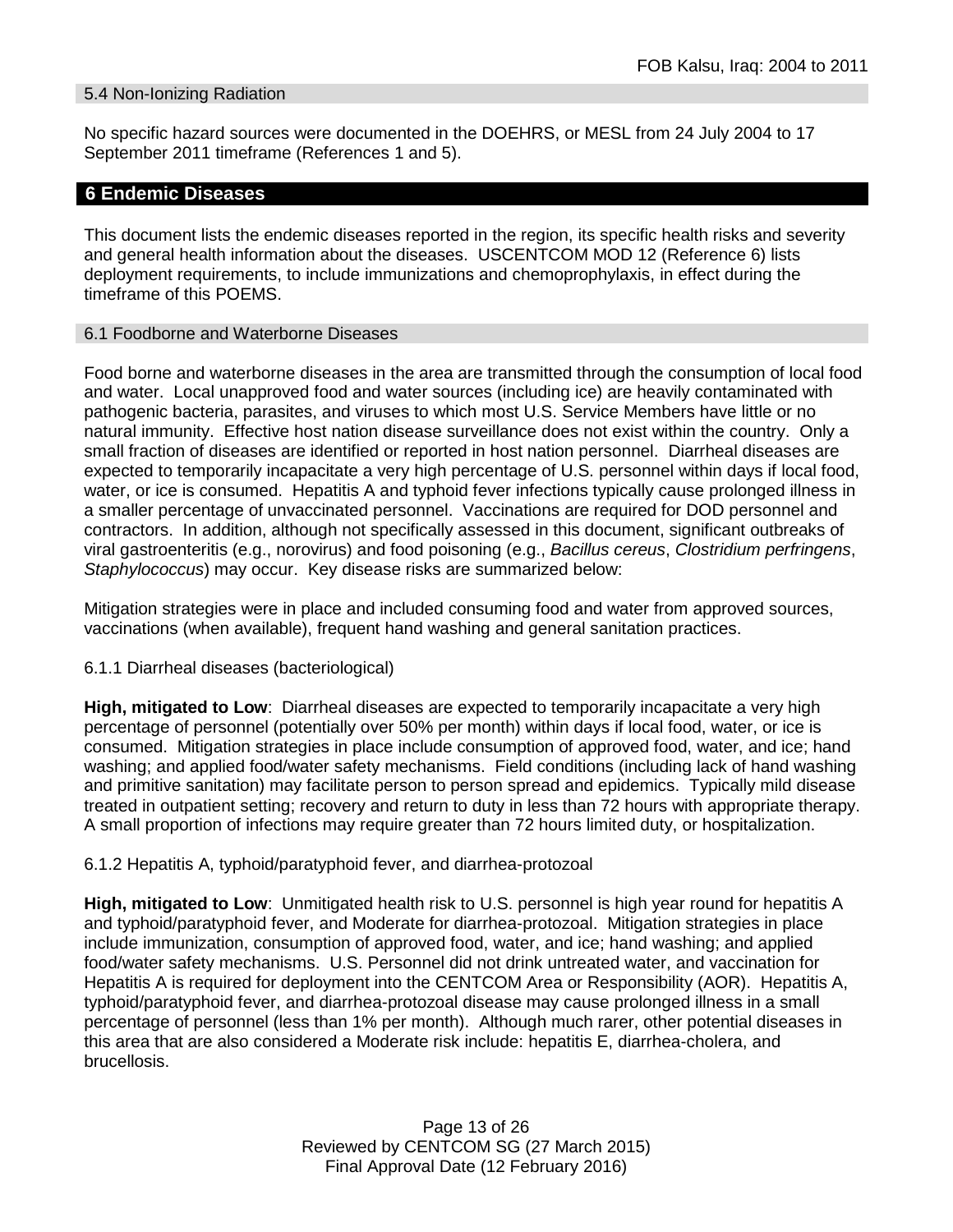#### 5.4 Non-Ionizing Radiation

No specific hazard sources were documented in the DOEHRS, or MESL from 24 July 2004 to 17 September 2011 timeframe (References 1 and 5).

#### **6 Endemic Diseases**

This document lists the endemic diseases reported in the region, its specific health risks and severity and general health information about the diseases. USCENTCOM MOD 12 (Reference 6) lists deployment requirements, to include immunizations and chemoprophylaxis, in effect during the timeframe of this POEMS.

#### 6.1 Foodborne and Waterborne Diseases

Food borne and waterborne diseases in the area are transmitted through the consumption of local food and water. Local unapproved food and water sources (including ice) are heavily contaminated with pathogenic bacteria, parasites, and viruses to which most U.S. Service Members have little or no natural immunity. Effective host nation disease surveillance does not exist within the country. Only a small fraction of diseases are identified or reported in host nation personnel. Diarrheal diseases are expected to temporarily incapacitate a very high percentage of U.S. personnel within days if local food, water, or ice is consumed. Hepatitis A and typhoid fever infections typically cause prolonged illness in a smaller percentage of unvaccinated personnel. Vaccinations are required for DOD personnel and contractors. In addition, although not specifically assessed in this document, significant outbreaks of viral gastroenteritis (e.g., norovirus) and food poisoning (e.g., *Bacillus cereus*, *Clostridium perfringens*, *Staphylococcus*) may occur. Key disease risks are summarized below:

Mitigation strategies were in place and included consuming food and water from approved sources, vaccinations (when available), frequent hand washing and general sanitation practices.

#### 6.1.1 Diarrheal diseases (bacteriological)

**High, mitigated to Low**: Diarrheal diseases are expected to temporarily incapacitate a very high percentage of personnel (potentially over 50% per month) within days if local food, water, or ice is consumed. Mitigation strategies in place include consumption of approved food, water, and ice; hand washing; and applied food/water safety mechanisms. Field conditions (including lack of hand washing and primitive sanitation) may facilitate person to person spread and epidemics. Typically mild disease treated in outpatient setting; recovery and return to duty in less than 72 hours with appropriate therapy. A small proportion of infections may require greater than 72 hours limited duty, or hospitalization.

#### 6.1.2 Hepatitis A, typhoid/paratyphoid fever, and diarrhea-protozoal

**High, mitigated to Low**: Unmitigated health risk to U.S. personnel is high year round for hepatitis A and typhoid/paratyphoid fever, and Moderate for diarrhea-protozoal. Mitigation strategies in place include immunization, consumption of approved food, water, and ice; hand washing; and applied food/water safety mechanisms. U.S. Personnel did not drink untreated water, and vaccination for Hepatitis A is required for deployment into the CENTCOM Area or Responsibility (AOR). Hepatitis A, typhoid/paratyphoid fever, and diarrhea-protozoal disease may cause prolonged illness in a small percentage of personnel (less than 1% per month). Although much rarer, other potential diseases in this area that are also considered a Moderate risk include: hepatitis E, diarrhea-cholera, and brucellosis.

> Page 13 of 26 Reviewed by CENTCOM SG (27 March 2015) Final Approval Date (12 February 2016)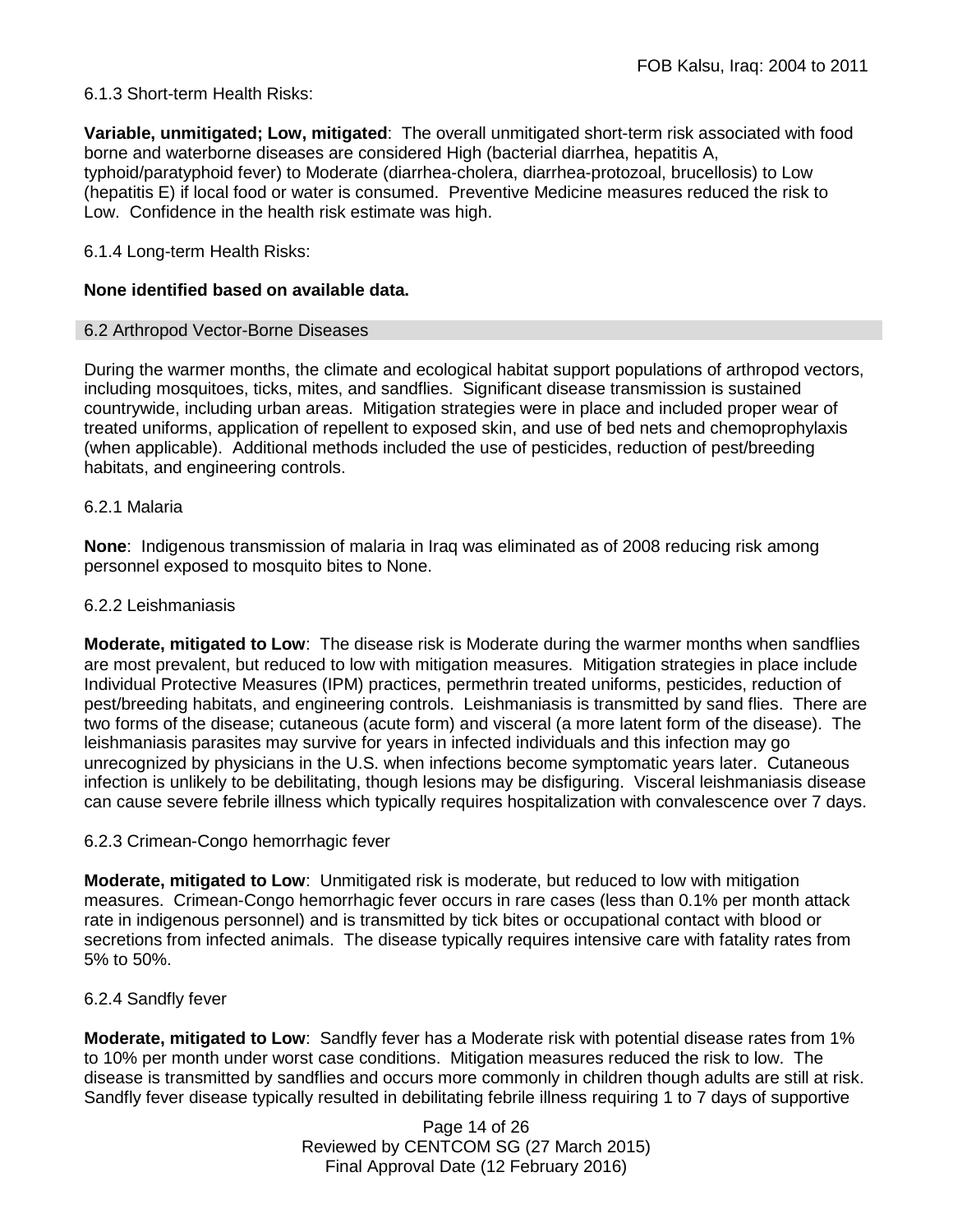### 6.1.3 Short-term Health Risks:

**Variable, unmitigated; Low, mitigated**: The overall unmitigated short-term risk associated with food borne and waterborne diseases are considered High (bacterial diarrhea, hepatitis A, typhoid/paratyphoid fever) to Moderate (diarrhea-cholera, diarrhea-protozoal, brucellosis) to Low (hepatitis E) if local food or water is consumed. Preventive Medicine measures reduced the risk to Low. Confidence in the health risk estimate was high.

### 6.1.4 Long-term Health Risks:

### **None identified based on available data.**

#### 6.2 Arthropod Vector-Borne Diseases

During the warmer months, the climate and ecological habitat support populations of arthropod vectors, including mosquitoes, ticks, mites, and sandflies. Significant disease transmission is sustained countrywide, including urban areas. Mitigation strategies were in place and included proper wear of treated uniforms, application of repellent to exposed skin, and use of bed nets and chemoprophylaxis (when applicable). Additional methods included the use of pesticides, reduction of pest/breeding habitats, and engineering controls.

#### 6.2.1 Malaria

**None**: Indigenous transmission of malaria in Iraq was eliminated as of 2008 reducing risk among personnel exposed to mosquito bites to None.

#### 6.2.2 Leishmaniasis

**Moderate, mitigated to Low**: The disease risk is Moderate during the warmer months when sandflies are most prevalent, but reduced to low with mitigation measures. Mitigation strategies in place include Individual Protective Measures (IPM) practices, permethrin treated uniforms, pesticides, reduction of pest/breeding habitats, and engineering controls. Leishmaniasis is transmitted by sand flies. There are two forms of the disease; cutaneous (acute form) and visceral (a more latent form of the disease). The leishmaniasis parasites may survive for years in infected individuals and this infection may go unrecognized by physicians in the U.S. when infections become symptomatic years later. Cutaneous infection is unlikely to be debilitating, though lesions may be disfiguring. Visceral leishmaniasis disease can cause severe febrile illness which typically requires hospitalization with convalescence over 7 days.

#### 6.2.3 Crimean-Congo hemorrhagic fever

**Moderate, mitigated to Low**: Unmitigated risk is moderate, but reduced to low with mitigation measures. Crimean-Congo hemorrhagic fever occurs in rare cases (less than 0.1% per month attack rate in indigenous personnel) and is transmitted by tick bites or occupational contact with blood or secretions from infected animals. The disease typically requires intensive care with fatality rates from 5% to 50%.

#### 6.2.4 Sandfly fever

**Moderate, mitigated to Low**: Sandfly fever has a Moderate risk with potential disease rates from 1% to 10% per month under worst case conditions. Mitigation measures reduced the risk to low. The disease is transmitted by sandflies and occurs more commonly in children though adults are still at risk. Sandfly fever disease typically resulted in debilitating febrile illness requiring 1 to 7 days of supportive

> Page 14 of 26 Reviewed by CENTCOM SG (27 March 2015) Final Approval Date (12 February 2016)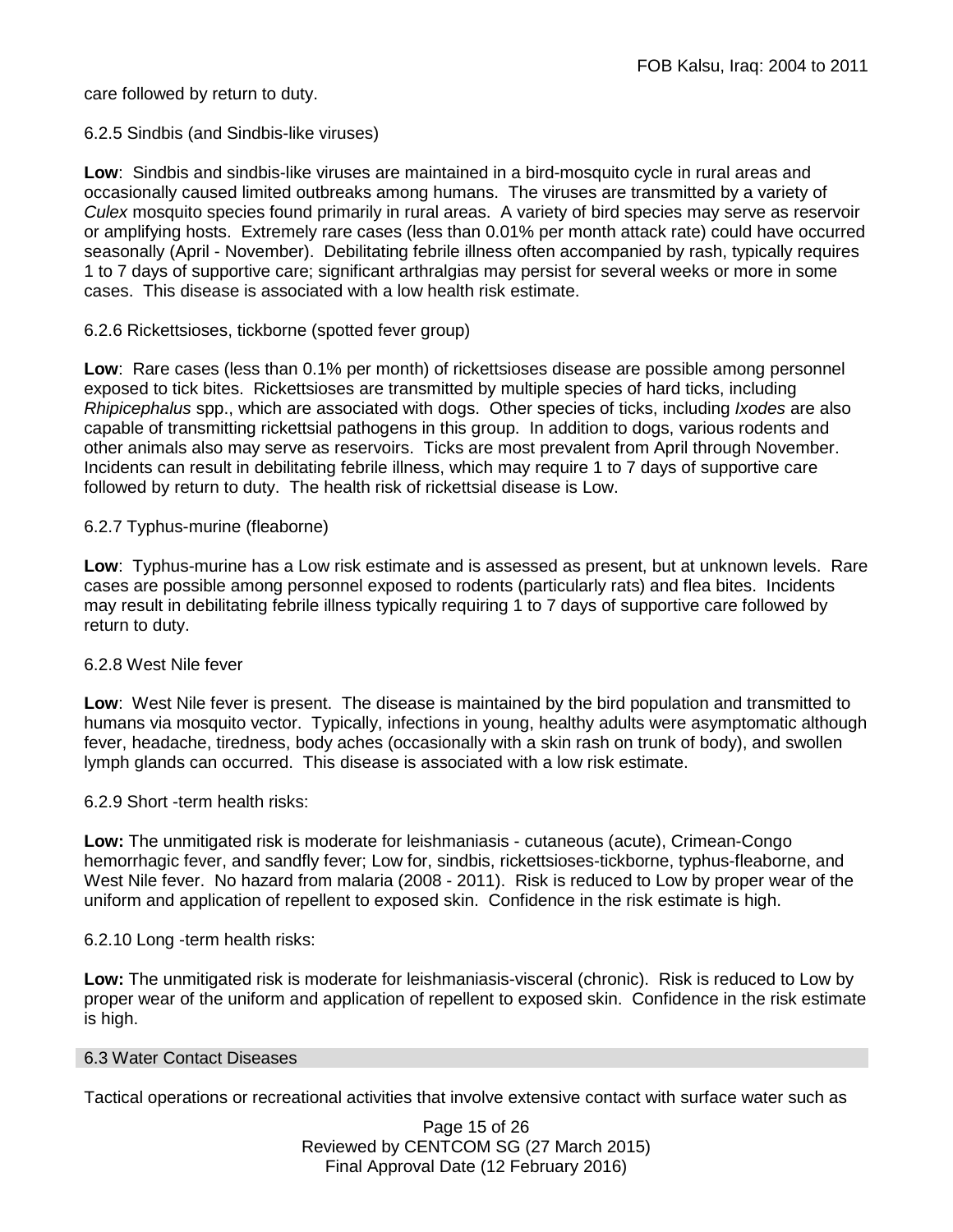care followed by return to duty.

### 6.2.5 Sindbis (and Sindbis-like viruses)

**Low**: Sindbis and sindbis-like viruses are maintained in a bird-mosquito cycle in rural areas and occasionally caused limited outbreaks among humans. The viruses are transmitted by a variety of *Culex* mosquito species found primarily in rural areas. A variety of bird species may serve as reservoir or amplifying hosts. Extremely rare cases (less than 0.01% per month attack rate) could have occurred seasonally (April - November). Debilitating febrile illness often accompanied by rash, typically requires 1 to 7 days of supportive care; significant arthralgias may persist for several weeks or more in some cases. This disease is associated with a low health risk estimate.

### 6.2.6 Rickettsioses, tickborne (spotted fever group)

**Low**: Rare cases (less than 0.1% per month) of rickettsioses disease are possible among personnel exposed to tick bites. Rickettsioses are transmitted by multiple species of hard ticks, including *Rhipicephalus* spp., which are associated with dogs. Other species of ticks, including *Ixodes* are also capable of transmitting rickettsial pathogens in this group. In addition to dogs, various rodents and other animals also may serve as reservoirs. Ticks are most prevalent from April through November. Incidents can result in debilitating febrile illness, which may require 1 to 7 days of supportive care followed by return to duty. The health risk of rickettsial disease is Low.

### 6.2.7 Typhus-murine (fleaborne)

**Low**: Typhus-murine has a Low risk estimate and is assessed as present, but at unknown levels. Rare cases are possible among personnel exposed to rodents (particularly rats) and flea bites. Incidents may result in debilitating febrile illness typically requiring 1 to 7 days of supportive care followed by return to duty.

#### 6.2.8 West Nile fever

**Low**: West Nile fever is present. The disease is maintained by the bird population and transmitted to humans via mosquito vector. Typically, infections in young, healthy adults were asymptomatic although fever, headache, tiredness, body aches (occasionally with a skin rash on trunk of body), and swollen lymph glands can occurred. This disease is associated with a low risk estimate.

6.2.9 Short -term health risks:

**Low:** The unmitigated risk is moderate for leishmaniasis - cutaneous (acute), Crimean-Congo hemorrhagic fever, and sandfly fever; Low for, sindbis, rickettsioses-tickborne, typhus-fleaborne, and West Nile fever. No hazard from malaria (2008 - 2011). Risk is reduced to Low by proper wear of the uniform and application of repellent to exposed skin. Confidence in the risk estimate is high.

### 6.2.10 Long -term health risks:

**Low:** The unmitigated risk is moderate for leishmaniasis-visceral (chronic). Risk is reduced to Low by proper wear of the uniform and application of repellent to exposed skin. Confidence in the risk estimate is high.

#### 6.3 Water Contact Diseases

Tactical operations or recreational activities that involve extensive contact with surface water such as

Page 15 of 26 Reviewed by CENTCOM SG (27 March 2015) Final Approval Date (12 February 2016)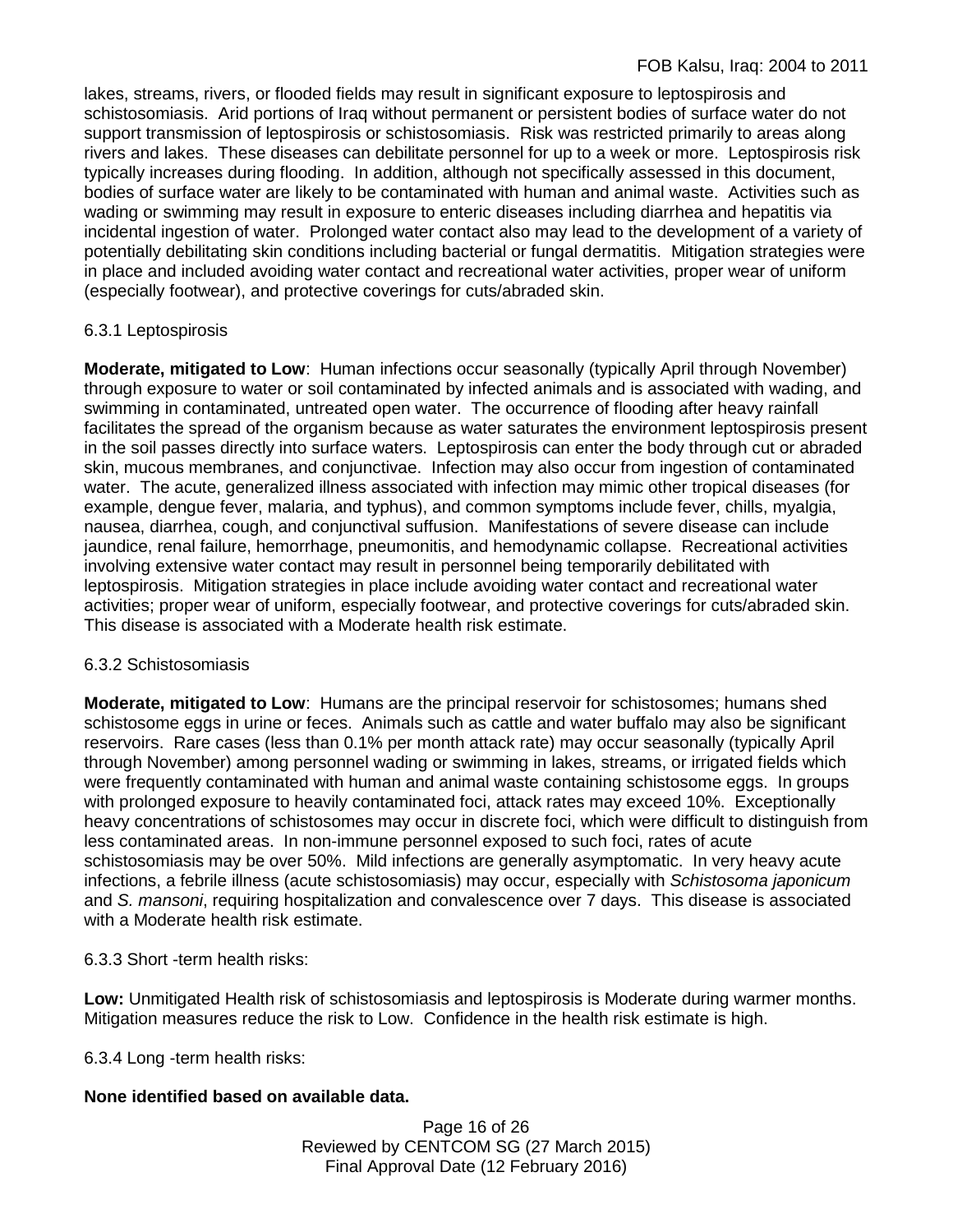lakes, streams, rivers, or flooded fields may result in significant exposure to leptospirosis and schistosomiasis. Arid portions of Iraq without permanent or persistent bodies of surface water do not support transmission of leptospirosis or schistosomiasis. Risk was restricted primarily to areas along rivers and lakes. These diseases can debilitate personnel for up to a week or more. Leptospirosis risk typically increases during flooding. In addition, although not specifically assessed in this document, bodies of surface water are likely to be contaminated with human and animal waste. Activities such as wading or swimming may result in exposure to enteric diseases including diarrhea and hepatitis via incidental ingestion of water. Prolonged water contact also may lead to the development of a variety of potentially debilitating skin conditions including bacterial or fungal dermatitis. Mitigation strategies were in place and included avoiding water contact and recreational water activities, proper wear of uniform (especially footwear), and protective coverings for cuts/abraded skin.

## 6.3.1 Leptospirosis

**Moderate, mitigated to Low**: Human infections occur seasonally (typically April through November) through exposure to water or soil contaminated by infected animals and is associated with wading, and swimming in contaminated, untreated open water. The occurrence of flooding after heavy rainfall facilitates the spread of the organism because as water saturates the environment leptospirosis present in the soil passes directly into surface waters. Leptospirosis can enter the body through cut or abraded skin, mucous membranes, and conjunctivae. Infection may also occur from ingestion of contaminated water. The acute, generalized illness associated with infection may mimic other tropical diseases (for example, dengue fever, malaria, and typhus), and common symptoms include fever, chills, myalgia, nausea, diarrhea, cough, and conjunctival suffusion. Manifestations of severe disease can include jaundice, renal failure, hemorrhage, pneumonitis, and hemodynamic collapse. Recreational activities involving extensive water contact may result in personnel being temporarily debilitated with leptospirosis. Mitigation strategies in place include avoiding water contact and recreational water activities; proper wear of uniform, especially footwear, and protective coverings for cuts/abraded skin. This disease is associated with a Moderate health risk estimate.

### 6.3.2 Schistosomiasis

**Moderate, mitigated to Low**: Humans are the principal reservoir for schistosomes; humans shed schistosome eggs in urine or feces. Animals such as cattle and water buffalo may also be significant reservoirs. Rare cases (less than 0.1% per month attack rate) may occur seasonally (typically April through November) among personnel wading or swimming in lakes, streams, or irrigated fields which were frequently contaminated with human and animal waste containing schistosome eggs. In groups with prolonged exposure to heavily contaminated foci, attack rates may exceed 10%. Exceptionally heavy concentrations of schistosomes may occur in discrete foci, which were difficult to distinguish from less contaminated areas. In non-immune personnel exposed to such foci, rates of acute schistosomiasis may be over 50%. Mild infections are generally asymptomatic. In very heavy acute infections, a febrile illness (acute schistosomiasis) may occur, especially with *Schistosoma japonicum*  and *S. mansoni*, requiring hospitalization and convalescence over 7 days. This disease is associated with a Moderate health risk estimate.

### 6.3.3 Short -term health risks:

**Low:** Unmitigated Health risk of schistosomiasis and leptospirosis is Moderate during warmer months. Mitigation measures reduce the risk to Low. Confidence in the health risk estimate is high.

6.3.4 Long -term health risks:

# **None identified based on available data.**

Page 16 of 26 Reviewed by CENTCOM SG (27 March 2015) Final Approval Date (12 February 2016)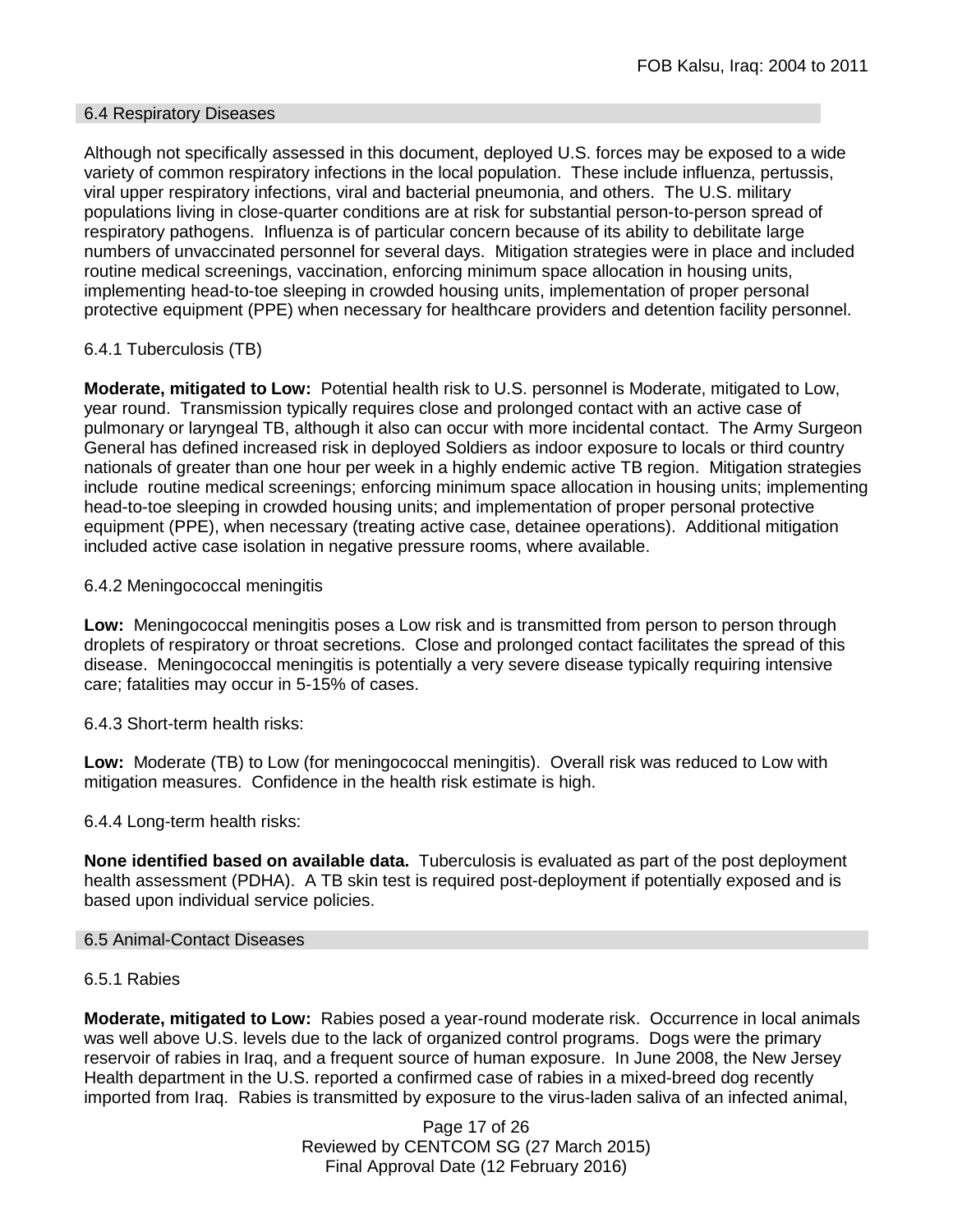#### 6.4 Respiratory Diseases

Although not specifically assessed in this document, deployed U.S. forces may be exposed to a wide variety of common respiratory infections in the local population. These include influenza, pertussis, viral upper respiratory infections, viral and bacterial pneumonia, and others. The U.S. military populations living in close-quarter conditions are at risk for substantial person-to-person spread of respiratory pathogens. Influenza is of particular concern because of its ability to debilitate large numbers of unvaccinated personnel for several days. Mitigation strategies were in place and included routine medical screenings, vaccination, enforcing minimum space allocation in housing units, implementing head-to-toe sleeping in crowded housing units, implementation of proper personal protective equipment (PPE) when necessary for healthcare providers and detention facility personnel.

### 6.4.1 Tuberculosis (TB)

**Moderate, mitigated to Low:** Potential health risk to U.S. personnel is Moderate, mitigated to Low, year round. Transmission typically requires close and prolonged contact with an active case of pulmonary or laryngeal TB, although it also can occur with more incidental contact. The Army Surgeon General has defined increased risk in deployed Soldiers as indoor exposure to locals or third country nationals of greater than one hour per week in a highly endemic active TB region. Mitigation strategies include routine medical screenings; enforcing minimum space allocation in housing units; implementing head-to-toe sleeping in crowded housing units; and implementation of proper personal protective equipment (PPE), when necessary (treating active case, detainee operations). Additional mitigation included active case isolation in negative pressure rooms, where available.

#### 6.4.2 Meningococcal meningitis

**Low:** Meningococcal meningitis poses a Low risk and is transmitted from person to person through droplets of respiratory or throat secretions. Close and prolonged contact facilitates the spread of this disease. Meningococcal meningitis is potentially a very severe disease typically requiring intensive care; fatalities may occur in 5-15% of cases.

6.4.3 Short-term health risks:

**Low:** Moderate (TB) to Low (for meningococcal meningitis). Overall risk was reduced to Low with mitigation measures. Confidence in the health risk estimate is high.

#### 6.4.4 Long-term health risks:

**None identified based on available data.** Tuberculosis is evaluated as part of the post deployment health assessment (PDHA). A TB skin test is required post-deployment if potentially exposed and is based upon individual service policies.

#### 6.5 Animal-Contact Diseases

#### 6.5.1 Rabies

**Moderate, mitigated to Low:** Rabies posed a year-round moderate risk. Occurrence in local animals was well above U.S. levels due to the lack of organized control programs. Dogs were the primary reservoir of rabies in Iraq, and a frequent source of human exposure. In June 2008, the New Jersey Health department in the U.S. reported a confirmed case of rabies in a mixed-breed dog recently imported from Iraq. Rabies is transmitted by exposure to the virus-laden saliva of an infected animal,

> Page 17 of 26 Reviewed by CENTCOM SG (27 March 2015) Final Approval Date (12 February 2016)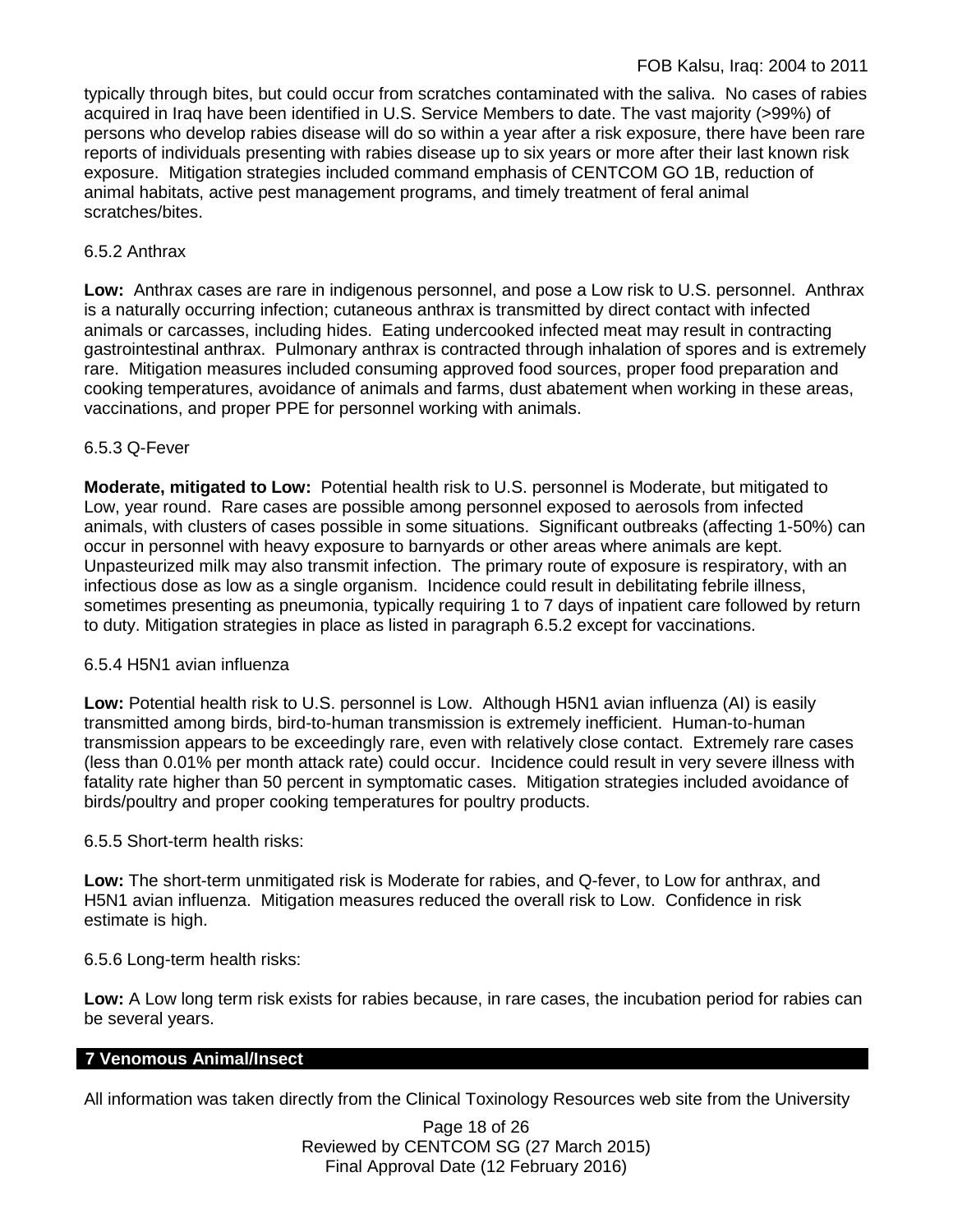typically through bites, but could occur from scratches contaminated with the saliva. No cases of rabies acquired in Iraq have been identified in U.S. Service Members to date. The vast majority (>99%) of persons who develop rabies disease will do so within a year after a risk exposure, there have been rare reports of individuals presenting with rabies disease up to six years or more after their last known risk exposure. Mitigation strategies included command emphasis of CENTCOM GO 1B, reduction of animal habitats, active pest management programs, and timely treatment of feral animal scratches/bites.

## 6.5.2 Anthrax

**Low:** Anthrax cases are rare in indigenous personnel, and pose a Low risk to U.S. personnel. Anthrax is a naturally occurring infection; cutaneous anthrax is transmitted by direct contact with infected animals or carcasses, including hides. Eating undercooked infected meat may result in contracting gastrointestinal anthrax. Pulmonary anthrax is contracted through inhalation of spores and is extremely rare. Mitigation measures included consuming approved food sources, proper food preparation and cooking temperatures, avoidance of animals and farms, dust abatement when working in these areas, vaccinations, and proper PPE for personnel working with animals.

## 6.5.3 Q-Fever

**Moderate, mitigated to Low:** Potential health risk to U.S. personnel is Moderate, but mitigated to Low, year round. Rare cases are possible among personnel exposed to aerosols from infected animals, with clusters of cases possible in some situations. Significant outbreaks (affecting 1-50%) can occur in personnel with heavy exposure to barnyards or other areas where animals are kept. Unpasteurized milk may also transmit infection. The primary route of exposure is respiratory, with an infectious dose as low as a single organism. Incidence could result in debilitating febrile illness, sometimes presenting as pneumonia, typically requiring 1 to 7 days of inpatient care followed by return to duty. Mitigation strategies in place as listed in paragraph 6.5.2 except for vaccinations.

### 6.5.4 H5N1 avian influenza

**Low:** Potential health risk to U.S. personnel is Low. Although H5N1 avian influenza (AI) is easily transmitted among birds, bird-to-human transmission is extremely inefficient. Human-to-human transmission appears to be exceedingly rare, even with relatively close contact. Extremely rare cases (less than 0.01% per month attack rate) could occur. Incidence could result in very severe illness with fatality rate higher than 50 percent in symptomatic cases. Mitigation strategies included avoidance of birds/poultry and proper cooking temperatures for poultry products.

### 6.5.5 Short-term health risks:

**Low:** The short-term unmitigated risk is Moderate for rabies, and Q-fever, to Low for anthrax, and H5N1 avian influenza. Mitigation measures reduced the overall risk to Low.Confidence in risk estimate is high.

### 6.5.6 Long-term health risks:

**Low:** A Low long term risk exists for rabies because, in rare cases, the incubation period for rabies can be several years.

# **7 Venomous Animal/Insect**

All information was taken directly from the Clinical Toxinology Resources web site from the University

Page 18 of 26 Reviewed by CENTCOM SG (27 March 2015) Final Approval Date (12 February 2016)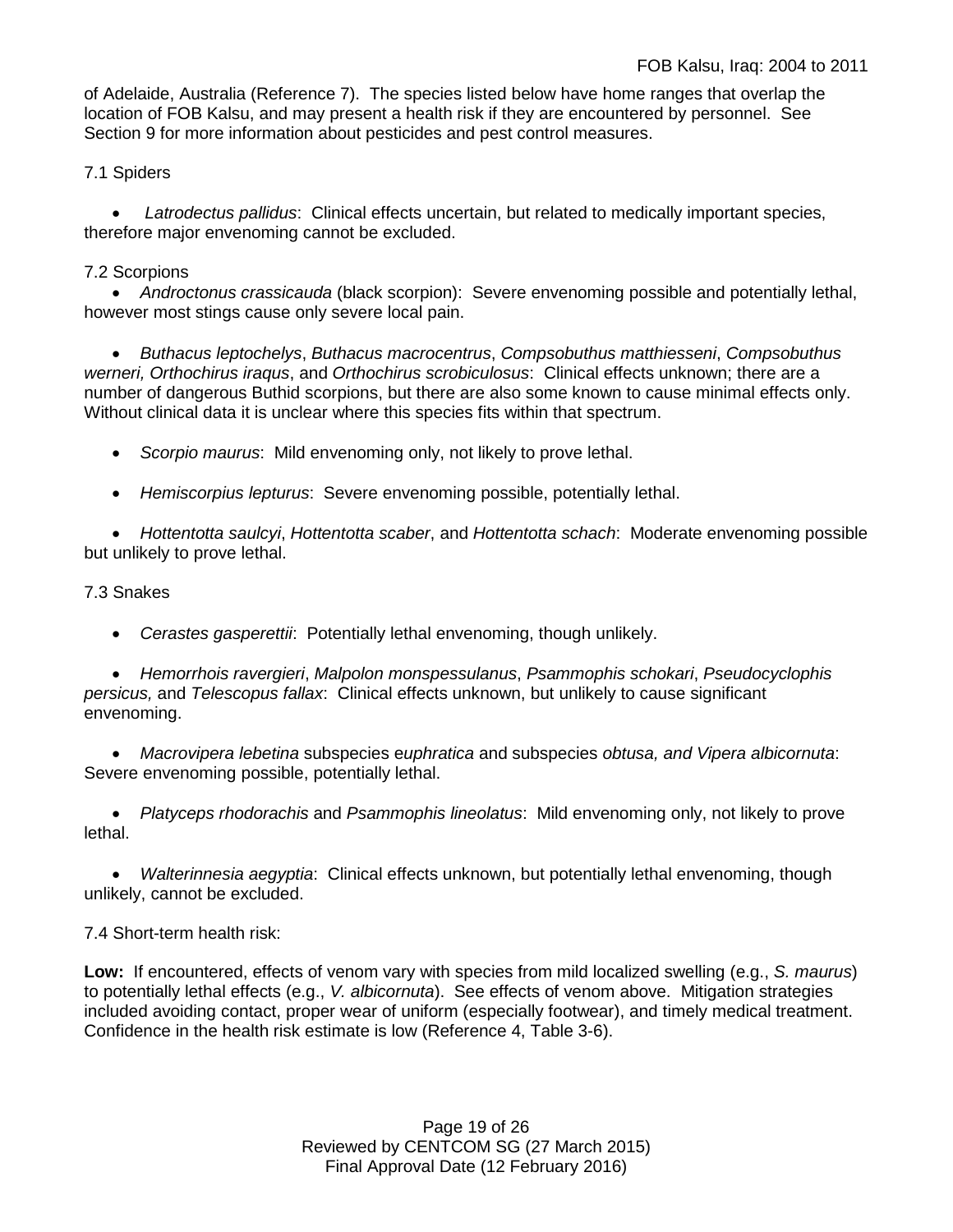of Adelaide, Australia (Reference 7). The species listed below have home ranges that overlap the location of FOB Kalsu, and may present a health risk if they are encountered by personnel. See Section 9 for more information about pesticides and pest control measures.

7.1 Spiders

• *Latrodectus pallidus*: Clinical effects uncertain, but related to medically important species, therefore major envenoming cannot be excluded.

## 7.2 Scorpions

• *Androctonus crassicauda* (black scorpion): Severe envenoming possible and potentially lethal, however most stings cause only severe local pain.

• *Buthacus leptochelys*, *Buthacus macrocentrus*, *Compsobuthus matthiesseni*, *Compsobuthus werneri, Orthochirus iraqus*, and *Orthochirus scrobiculosus*: Clinical effects unknown; there are a number of dangerous Buthid scorpions, but there are also some known to cause minimal effects only. Without clinical data it is unclear where this species fits within that spectrum.

• *Scorpio maurus*: Mild envenoming only, not likely to prove lethal.

• *Hemiscorpius lepturus*: Severe envenoming possible, potentially lethal.

• *Hottentotta saulcyi*, *Hottentotta scaber*, and *Hottentotta schach*: Moderate envenoming possible but unlikely to prove lethal.

### 7.3 Snakes

• *Cerastes gasperettii*: Potentially lethal envenoming, though unlikely.

• *Hemorrhois ravergieri*, *Malpolon monspessulanus*, *Psammophis schokari*, *Pseudocyclophis persicus,* and *Telescopus fallax*: Clinical effects unknown, but unlikely to cause significant envenoming.

• *Macrovipera lebetina* subspecies e*uphratica* and subspecies *obtusa, and Vipera albicornuta*: Severe envenoming possible, potentially lethal.

• *Platyceps rhodorachis* and *Psammophis lineolatus*: Mild envenoming only, not likely to prove lethal.

• *Walterinnesia aegyptia*: Clinical effects unknown, but potentially lethal envenoming, though unlikely, cannot be excluded.

### 7.4 Short-term health risk:

**Low:** If encountered, effects of venom vary with species from mild localized swelling (e.g., *S. maurus*) to potentially lethal effects (e.g., *V. albicornuta*). See effects of venom above. Mitigation strategies included avoiding contact, proper wear of uniform (especially footwear), and timely medical treatment. Confidence in the health risk estimate is low (Reference 4, Table 3-6).

> Page 19 of 26 Reviewed by CENTCOM SG (27 March 2015) Final Approval Date (12 February 2016)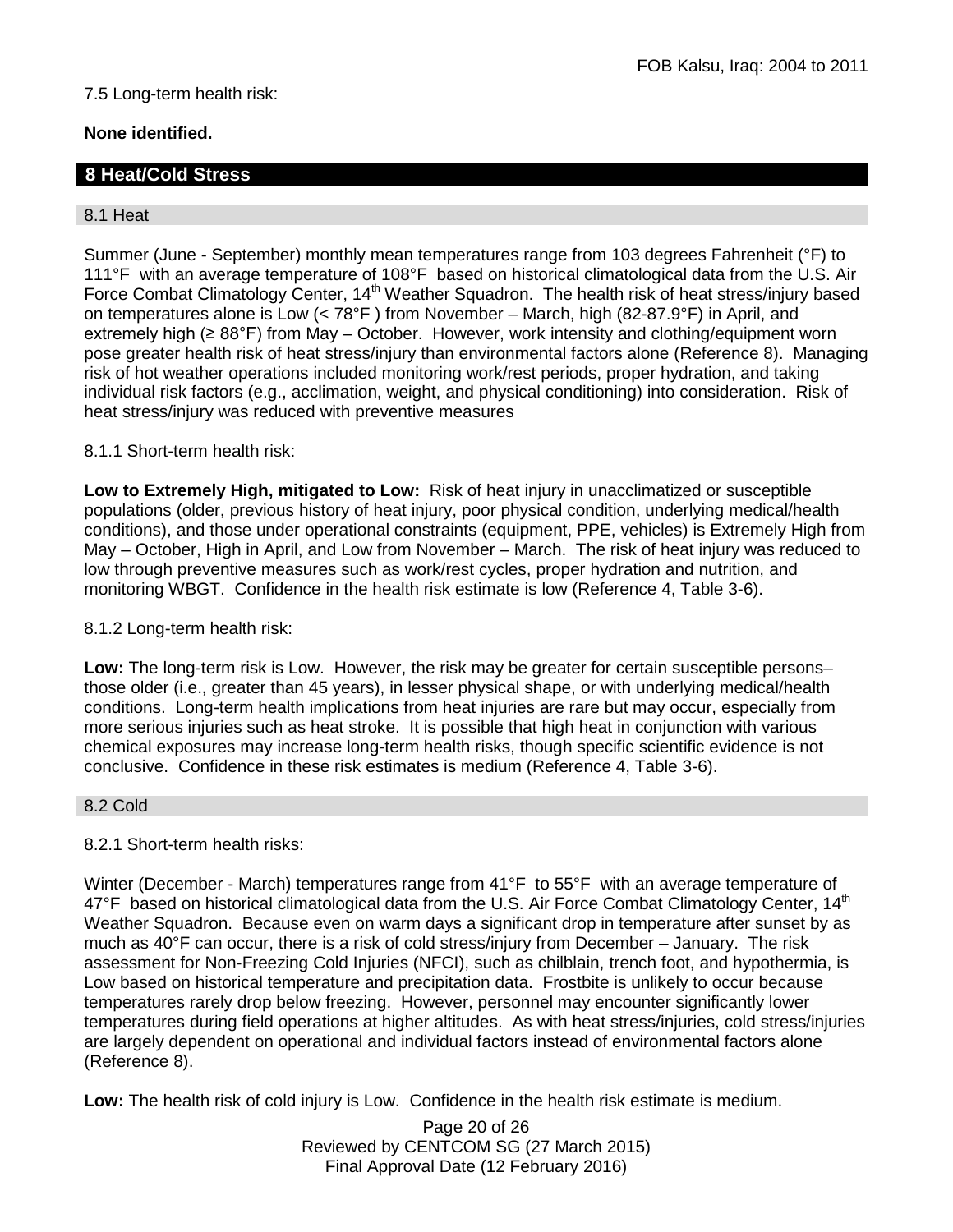## 7.5 Long-term health risk:

## **None identified.**

## **8 Heat/Cold Stress**

### 8.1 Heat

Summer (June - September) monthly mean temperatures range from 103 degrees Fahrenheit (°F) to 111°F with an average temperature of 108°F based on historical climatological data from the U.S. Air Force Combat Climatology Center, 14<sup>th</sup> Weather Squadron. The health risk of heat stress/injury based on temperatures alone is Low (< 78°F ) from November – March, high (82-87.9°F) in April, and extremely high (≥ 88°F) from May – October. However, work intensity and clothing/equipment worn pose greater health risk of heat stress/injury than environmental factors alone (Reference 8). Managing risk of hot weather operations included monitoring work/rest periods, proper hydration, and taking individual risk factors (e.g., acclimation, weight, and physical conditioning) into consideration. Risk of heat stress/injury was reduced with preventive measures

### 8.1.1 Short-term health risk:

**Low to Extremely High, mitigated to Low:** Risk of heat injury in unacclimatized or susceptible populations (older, previous history of heat injury, poor physical condition, underlying medical/health conditions), and those under operational constraints (equipment, PPE, vehicles) is Extremely High from May – October, High in April, and Low from November – March. The risk of heat injury was reduced to low through preventive measures such as work/rest cycles, proper hydration and nutrition, and monitoring WBGT. Confidence in the health risk estimate is low (Reference 4, Table 3-6).

#### 8.1.2 Long-term health risk:

**Low:** The long-term risk is Low. However, the risk may be greater for certain susceptible persons– those older (i.e., greater than 45 years), in lesser physical shape, or with underlying medical/health conditions. Long-term health implications from heat injuries are rare but may occur, especially from more serious injuries such as heat stroke. It is possible that high heat in conjunction with various chemical exposures may increase long-term health risks, though specific scientific evidence is not conclusive. Confidence in these risk estimates is medium (Reference 4, Table 3-6).

#### 8.2 Cold

### 8.2.1 Short-term health risks:

Winter (December - March) temperatures range from 41°F to 55°F with an average temperature of 47°F based on historical climatological data from the U.S. Air Force Combat Climatology Center, 14<sup>th</sup> Weather Squadron. Because even on warm days a significant drop in temperature after sunset by as much as 40°F can occur, there is a risk of cold stress/injury from December – January. The risk assessment for Non-Freezing Cold Injuries (NFCI), such as chilblain, trench foot, and hypothermia, is Low based on historical temperature and precipitation data. Frostbite is unlikely to occur because temperatures rarely drop below freezing. However, personnel may encounter significantly lower temperatures during field operations at higher altitudes. As with heat stress/injuries, cold stress/injuries are largely dependent on operational and individual factors instead of environmental factors alone (Reference 8).

**Low:** The health risk of cold injury is Low. Confidence in the health risk estimate is medium.

Page 20 of 26 Reviewed by CENTCOM SG (27 March 2015) Final Approval Date (12 February 2016)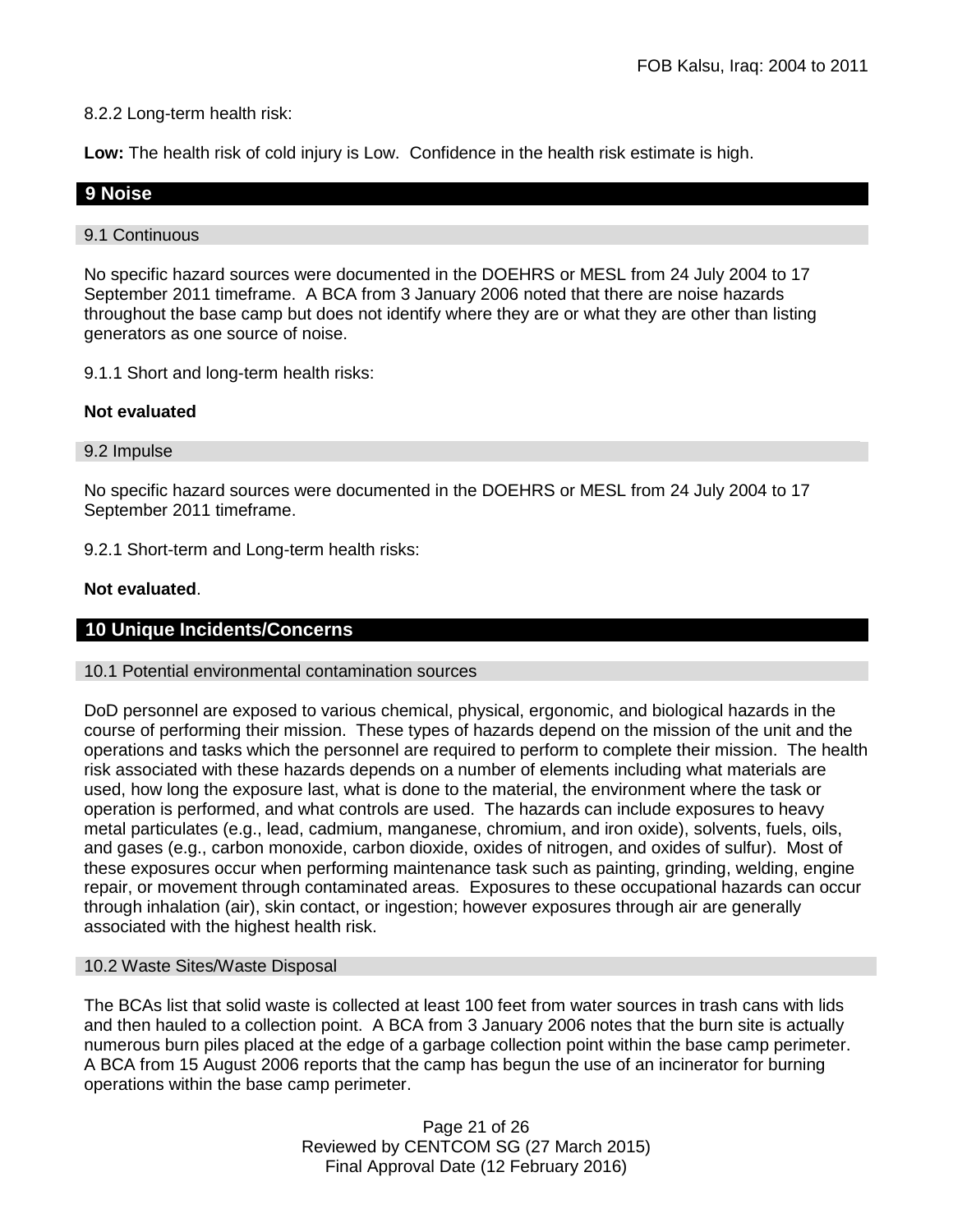### 8.2.2 Long-term health risk:

**Low:** The health risk of cold injury is Low. Confidence in the health risk estimate is high.

### **9 Noise**

#### 9.1 Continuous

No specific hazard sources were documented in the DOEHRS or MESL from 24 July 2004 to 17 September 2011 timeframe. A BCA from 3 January 2006 noted that there are noise hazards throughout the base camp but does not identify where they are or what they are other than listing generators as one source of noise.

9.1.1 Short and long-term health risks:

#### **Not evaluated**

#### 9.2 Impulse

No specific hazard sources were documented in the DOEHRS or MESL from 24 July 2004 to 17 September 2011 timeframe.

9.2.1 Short-term and Long-term health risks:

#### **Not evaluated**.

#### **10 Unique Incidents/Concerns**

#### 10.1 Potential environmental contamination sources

DoD personnel are exposed to various chemical, physical, ergonomic, and biological hazards in the course of performing their mission. These types of hazards depend on the mission of the unit and the operations and tasks which the personnel are required to perform to complete their mission. The health risk associated with these hazards depends on a number of elements including what materials are used, how long the exposure last, what is done to the material, the environment where the task or operation is performed, and what controls are used. The hazards can include exposures to heavy metal particulates (e.g., lead, cadmium, manganese, chromium, and iron oxide), solvents, fuels, oils, and gases (e.g., carbon monoxide, carbon dioxide, oxides of nitrogen, and oxides of sulfur). Most of these exposures occur when performing maintenance task such as painting, grinding, welding, engine repair, or movement through contaminated areas. Exposures to these occupational hazards can occur through inhalation (air), skin contact, or ingestion; however exposures through air are generally associated with the highest health risk.

#### 10.2 Waste Sites/Waste Disposal

The BCAs list that solid waste is collected at least 100 feet from water sources in trash cans with lids and then hauled to a collection point. A BCA from 3 January 2006 notes that the burn site is actually numerous burn piles placed at the edge of a garbage collection point within the base camp perimeter. A BCA from 15 August 2006 reports that the camp has begun the use of an incinerator for burning operations within the base camp perimeter.

> Page 21 of 26 Reviewed by CENTCOM SG (27 March 2015) Final Approval Date (12 February 2016)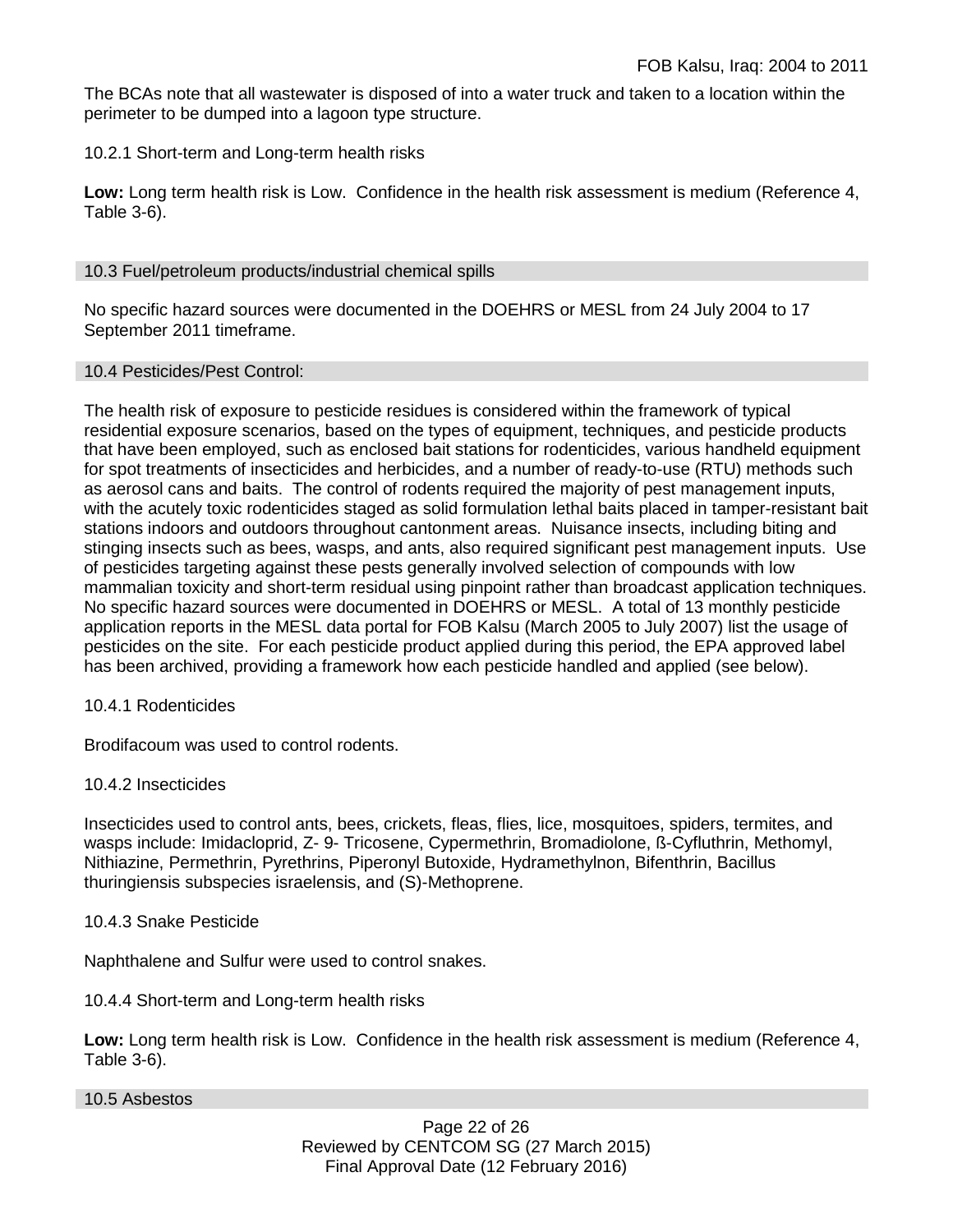The BCAs note that all wastewater is disposed of into a water truck and taken to a location within the perimeter to be dumped into a lagoon type structure.

### 10.2.1 Short-term and Long-term health risks

**Low:** Long term health risk is Low. Confidence in the health risk assessment is medium (Reference 4, Table 3-6).

### 10.3 Fuel/petroleum products/industrial chemical spills

No specific hazard sources were documented in the DOEHRS or MESL from 24 July 2004 to 17 September 2011 timeframe.

### 10.4 Pesticides/Pest Control:

The health risk of exposure to pesticide residues is considered within the framework of typical residential exposure scenarios, based on the types of equipment, techniques, and pesticide products that have been employed, such as enclosed bait stations for rodenticides, various handheld equipment for spot treatments of insecticides and herbicides, and a number of ready-to-use (RTU) methods such as aerosol cans and baits. The control of rodents required the majority of pest management inputs, with the acutely toxic rodenticides staged as solid formulation lethal baits placed in tamper-resistant bait stations indoors and outdoors throughout cantonment areas. Nuisance insects, including biting and stinging insects such as bees, wasps, and ants, also required significant pest management inputs. Use of pesticides targeting against these pests generally involved selection of compounds with low mammalian toxicity and short-term residual using pinpoint rather than broadcast application techniques. No specific hazard sources were documented in DOEHRS or MESL. A total of 13 monthly pesticide application reports in the MESL data portal for FOB Kalsu (March 2005 to July 2007) list the usage of pesticides on the site. For each pesticide product applied during this period, the EPA approved label has been archived, providing a framework how each pesticide handled and applied (see below).

### 10.4.1 Rodenticides

Brodifacoum was used to control rodents.

### 10.4.2 Insecticides

Insecticides used to control ants, bees, crickets, fleas, flies, lice, mosquitoes, spiders, termites, and wasps include: Imidacloprid, Z- 9- Tricosene, Cypermethrin, Bromadiolone, ß-Cyfluthrin, Methomyl, Nithiazine, Permethrin, Pyrethrins, Piperonyl Butoxide, Hydramethylnon, Bifenthrin, Bacillus thuringiensis subspecies israelensis, and (S)-Methoprene.

#### 10.4.3 Snake Pesticide

Naphthalene and Sulfur were used to control snakes.

### 10.4.4 Short-term and Long-term health risks

**Low:** Long term health risk is Low. Confidence in the health risk assessment is medium (Reference 4, Table 3-6).

10.5 Asbestos

Page 22 of 26 Reviewed by CENTCOM SG (27 March 2015) Final Approval Date (12 February 2016)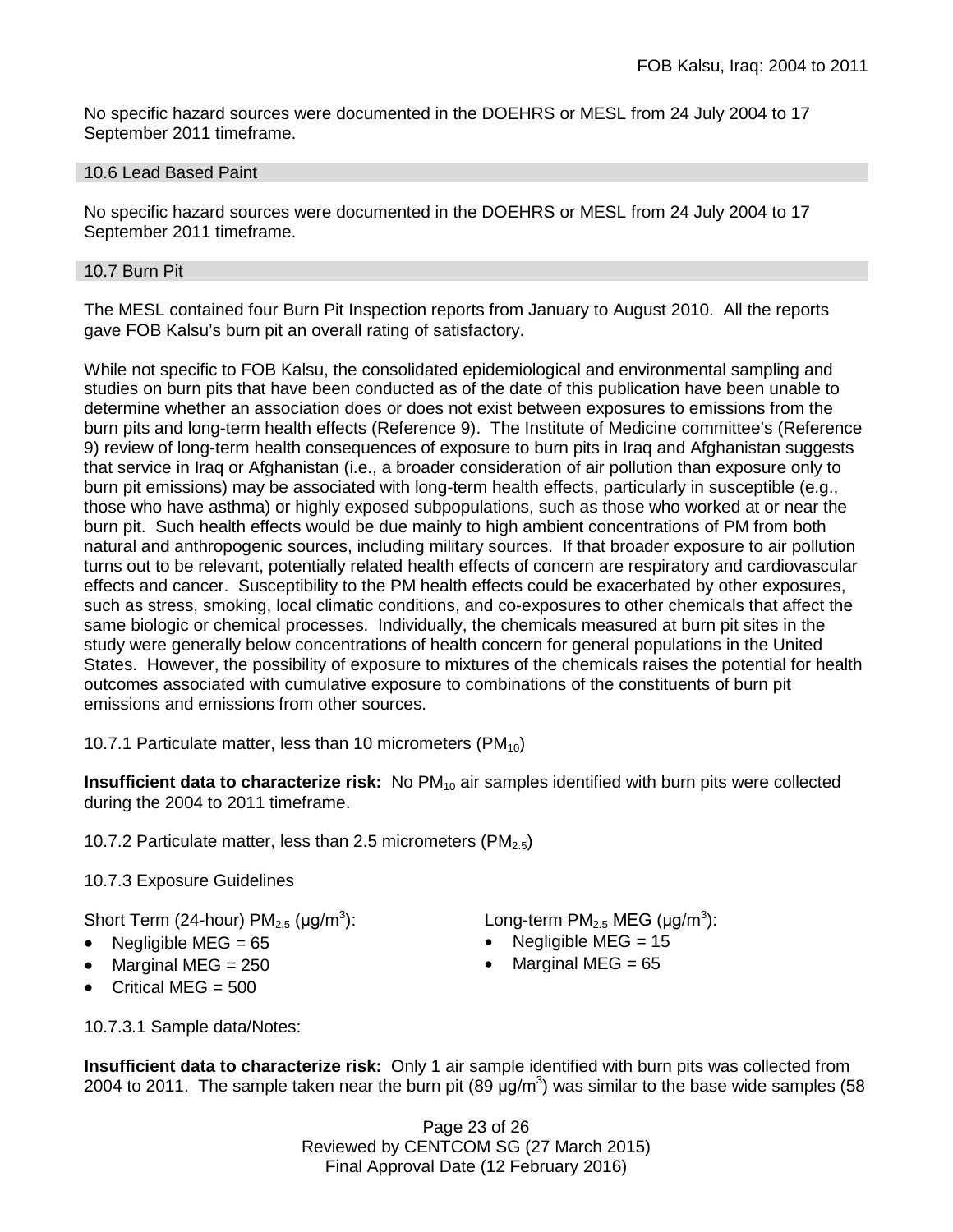No specific hazard sources were documented in the DOEHRS or MESL from 24 July 2004 to 17 September 2011 timeframe.

### 10.6 Lead Based Paint

No specific hazard sources were documented in the DOEHRS or MESL from 24 July 2004 to 17 September 2011 timeframe.

### 10.7 Burn Pit

The MESL contained four Burn Pit Inspection reports from January to August 2010. All the reports gave FOB Kalsu's burn pit an overall rating of satisfactory.

While not specific to FOB Kalsu, the consolidated epidemiological and environmental sampling and studies on burn pits that have been conducted as of the date of this publication have been unable to determine whether an association does or does not exist between exposures to emissions from the burn pits and long-term health effects (Reference 9). The Institute of Medicine committee's (Reference 9) review of long-term health consequences of exposure to burn pits in Iraq and Afghanistan suggests that service in Iraq or Afghanistan (i.e., a broader consideration of air pollution than exposure only to burn pit emissions) may be associated with long-term health effects, particularly in susceptible (e.g., those who have asthma) or highly exposed subpopulations, such as those who worked at or near the burn pit. Such health effects would be due mainly to high ambient concentrations of PM from both natural and anthropogenic sources, including military sources. If that broader exposure to air pollution turns out to be relevant, potentially related health effects of concern are respiratory and cardiovascular effects and cancer. Susceptibility to the PM health effects could be exacerbated by other exposures, such as stress, smoking, local climatic conditions, and co-exposures to other chemicals that affect the same biologic or chemical processes. Individually, the chemicals measured at burn pit sites in the study were generally below concentrations of health concern for general populations in the United States. However, the possibility of exposure to mixtures of the chemicals raises the potential for health outcomes associated with cumulative exposure to combinations of the constituents of burn pit emissions and emissions from other sources.

10.7.1 Particulate matter, less than 10 micrometers (PM $_{10}$ )

**Insufficient data to characterize risk:** No PM<sub>10</sub> air samples identified with burn pits were collected during the 2004 to 2011 timeframe.

10.7.2 Particulate matter, less than 2.5 micrometers (PM<sub>2.5</sub>)

# 10.7.3 Exposure Guidelines

Short Term (24-hour)  $PM_{2.5}$  ( $\mu$ g/m<sup>3</sup>):

- 
- Marginal MEG = 250 Marginal MEG = 65
- Critical MFG  $= 500$

): Long-term PM<sub>2.5</sub> MEG ( $\mu$ g/m $^3$ ):

- Negligible MEG = 65 Negligible MEG = 15
	-

10.7.3.1 Sample data/Notes:

**Insufficient data to characterize risk:** Only 1 air sample identified with burn pits was collected from 2004 to 2011. The sample taken near the burn pit (89  $\mu$ g/m<sup>3</sup>) was similar to the base wide samples (58

> Page 23 of 26 Reviewed by CENTCOM SG (27 March 2015) Final Approval Date (12 February 2016)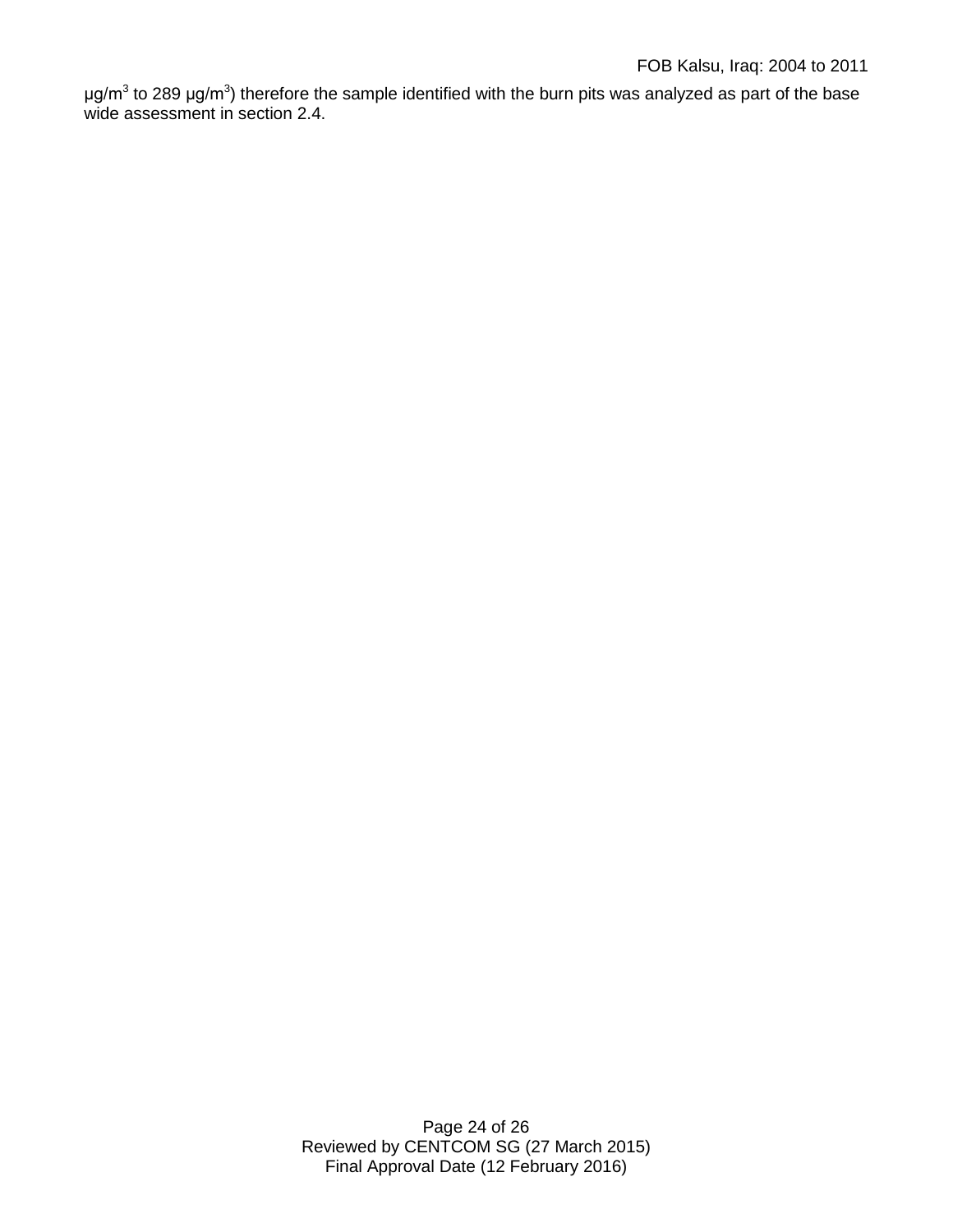μg/m<sup>3</sup> to 289 μg/m<sup>3</sup>) therefore the sample identified with the burn pits was analyzed as part of the base wide assessment in section 2.4.

> Page 24 of 26 Reviewed by CENTCOM SG (27 March 2015) Final Approval Date (12 February 2016)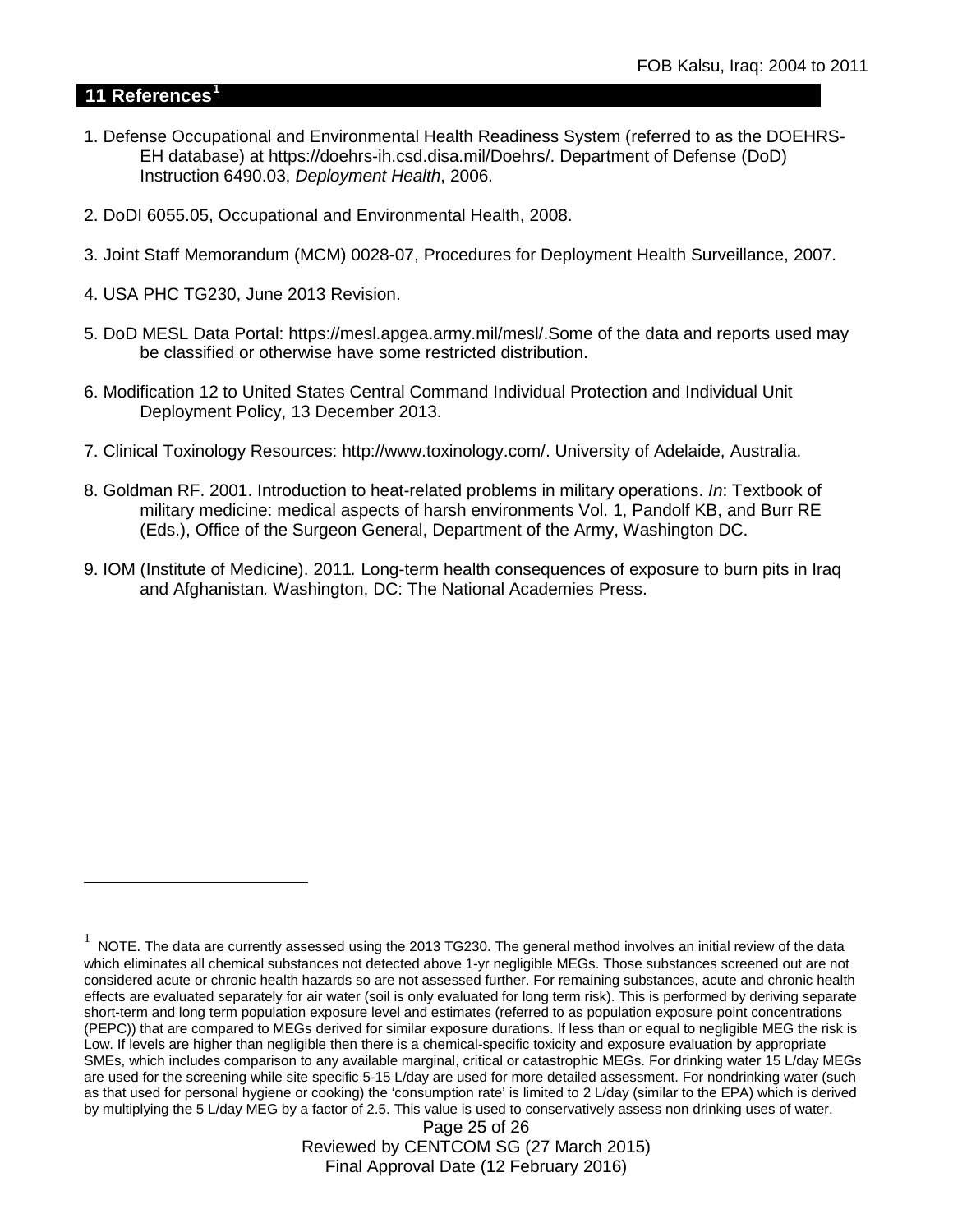### **11 References[1](#page-24-0)**

 $\overline{a}$ 

- 1. Defense Occupational and Environmental Health Readiness System (referred to as the DOEHRS-EH database) at https://doehrs-ih.csd.disa.mil/Doehrs/. Department of Defense (DoD) Instruction 6490.03, *Deployment Health*, 2006.
- 2. DoDI 6055.05, Occupational and Environmental Health, 2008.
- 3. Joint Staff Memorandum (MCM) 0028-07, Procedures for Deployment Health Surveillance, 2007.
- 4. USA PHC TG230, June 2013 Revision.
- 5. DoD MESL Data Portal: https://mesl.apgea.army.mil/mesl/.Some of the data and reports used may be classified or otherwise have some restricted distribution.
- 6. Modification 12 to United States Central Command Individual Protection and Individual Unit Deployment Policy, 13 December 2013.
- 7. Clinical Toxinology Resources: http://www.toxinology.com/. University of Adelaide, Australia.
- 8. Goldman RF. 2001. Introduction to heat-related problems in military operations. *In*: Textbook of military medicine: medical aspects of harsh environments Vol. 1, Pandolf KB, and Burr RE (Eds.), Office of the Surgeon General, Department of the Army, Washington DC.
- 9. IOM (Institute of Medicine). 2011*.* Long-term health consequences of exposure to burn pits in Iraq and Afghanistan*.* Washington, DC: The National Academies Press.

Page 25 of 26 Reviewed by CENTCOM SG (27 March 2015) Final Approval Date (12 February 2016)

<span id="page-24-0"></span> $1$  NOTE. The data are currently assessed using the 2013 TG230. The general method involves an initial review of the data which eliminates all chemical substances not detected above 1-yr negligible MEGs. Those substances screened out are not considered acute or chronic health hazards so are not assessed further. For remaining substances, acute and chronic health effects are evaluated separately for air water (soil is only evaluated for long term risk). This is performed by deriving separate short-term and long term population exposure level and estimates (referred to as population exposure point concentrations (PEPC)) that are compared to MEGs derived for similar exposure durations. If less than or equal to negligible MEG the risk is Low. If levels are higher than negligible then there is a chemical-specific toxicity and exposure evaluation by appropriate SMEs, which includes comparison to any available marginal, critical or catastrophic MEGs. For drinking water 15 L/day MEGs are used for the screening while site specific 5-15 L/day are used for more detailed assessment. For nondrinking water (such as that used for personal hygiene or cooking) the 'consumption rate' is limited to 2 L/day (similar to the EPA) which is derived by multiplying the 5 L/day MEG by a factor of 2.5. This value is used to conservatively assess non drinking uses of water.